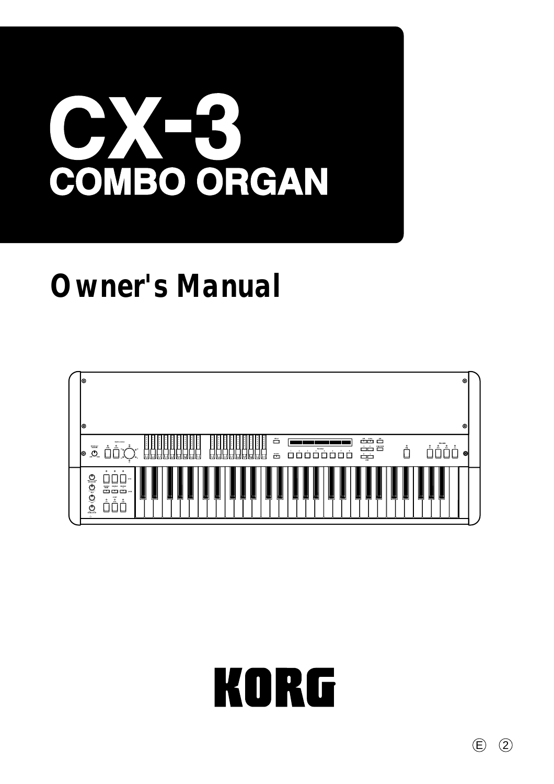# COMBO ORGAN

# **Owner's Manual**





 $\odot$   $\odot$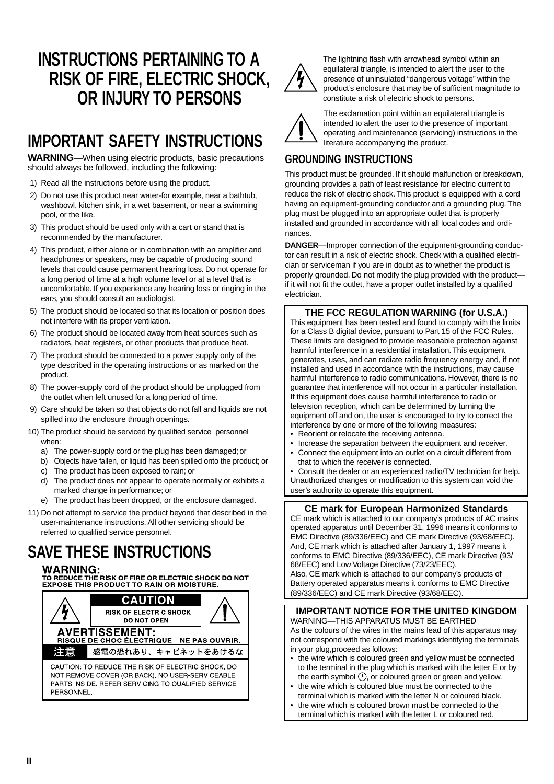# **INSTRUCTIONS PERTAINING TO A RISK OF FIRE, ELECTRIC SHOCK, OR INJURY TO PERSONS**

# **IMPORTANT SAFETY INSTRUCTIONS**

**WARNING**—When using electric products, basic precautions should always be followed, including the following:

- 1) Read all the instructions before using the product.
- 2) Do not use this product near water-for example, near a bathtub, washbowl, kitchen sink, in a wet basement, or near a swimming pool, or the like.
- 3) This product should be used only with a cart or stand that is recommended by the manufacturer.
- 4) This product, either alone or in combination with an amplifier and headphones or speakers, may be capable of producing sound levels that could cause permanent hearing loss. Do not operate for a long period of time at a high volume level or at a level that is uncomfortable. If you experience any hearing loss or ringing in the ears, you should consult an audiologist.
- 5) The product should be located so that its location or position does not interfere with its proper ventilation.
- 6) The product should be located away from heat sources such as radiators, heat registers, or other products that produce heat.
- 7) The product should be connected to a power supply only of the type described in the operating instructions or as marked on the product.
- 8) The power-supply cord of the product should be unplugged from the outlet when left unused for a long period of time.
- 9) Care should be taken so that objects do not fall and liquids are not spilled into the enclosure through openings.
- 10) The product should be serviced by qualified service personnel when:
	- a) The power-supply cord or the plug has been damaged; or
	- b) Objects have fallen, or liquid has been spilled onto the product; or
	- c) The product has been exposed to rain; or
	- d) The product does not appear to operate normally or exhibits a marked change in performance; or
	- e) The product has been dropped, or the enclosure damaged.
- 11) Do not attempt to service the product beyond that described in the user-maintenance instructions. All other servicing should be referred to qualified service personnel.

# **SAVE THESE INSTRUCTIONS**

#### **WARNING:**

**VY ATTITURE:**<br>TO REDUCE THE RISK OF FIRE OR ELECTRIC SHOCK DO NOT<br>EXPOSE THIS PRODUCT TO RAIN OR MOISTURE.





The lightning flash with arrowhead symbol within an equilateral triangle, is intended to alert the user to the presence of uninsulated "dangerous voltage" within the product's enclosure that may be of sufficient magnitude to constitute a risk of electric shock to persons.



The exclamation point within an equilateral triangle is intended to alert the user to the presence of important operating and maintenance (servicing) instructions in the literature accompanying the product.

# **GROUNDING INSTRUCTIONS**

This product must be grounded. If it should malfunction or breakdown, grounding provides a path of least resistance for electric current to reduce the risk of electric shock. This product is equipped with a cord having an equipment-grounding conductor and a grounding plug. The plug must be plugged into an appropriate outlet that is properly installed and grounded in accordance with all local codes and ordinances.

**DANGER**—Improper connection of the equipment-grounding conductor can result in a risk of electric shock. Check with a qualified electrician or serviceman if you are in doubt as to whether the product is properly grounded. Do not modify the plug provided with the product if it will not fit the outlet, have a proper outlet installed by a qualified electrician.

#### **THE FCC REGULATION WARNING (for U.S.A.)**

This equipment has been tested and found to comply with the limits for a Class B digital device, pursuant to Part 15 of the FCC Rules. These limits are designed to provide reasonable protection against harmful interference in a residential installation. This equipment generates, uses, and can radiate radio frequency energy and, if not installed and used in accordance with the instructions, may cause harmful interference to radio communications. However, there is no guarantee that interference will not occur in a particular installation. If this equipment does cause harmful interference to radio or television reception, which can be determined by turning the equipment off and on, the user is encouraged to try to correct the interference by one or more of the following measures:

- Reorient or relocate the receiving antenna.
- Increase the separation between the equipment and receiver.
- Connect the equipment into an outlet on a circuit different from that to which the receiver is connected.

• Consult the dealer or an experienced radio/TV technician for help. Unauthorized changes or modification to this system can void the user's authority to operate this equipment.

#### **CE mark for European Harmonized Standards**

CE mark which is attached to our company's products of AC mains operated apparatus until December 31, 1996 means it conforms to EMC Directive (89/336/EEC) and CE mark Directive (93/68/EEC). And, CE mark which is attached after January 1, 1997 means it conforms to EMC Directive (89/336/EEC), CE mark Directive (93/ 68/EEC) and Low Voltage Directive (73/23/EEC).

Also, CE mark which is attached to our company's products of Battery operated apparatus means it conforms to EMC Directive (89/336/EEC) and CE mark Directive (93/68/EEC).

#### **IMPORTANT NOTICE FOR THE UNITED KINGDOM**

WARNING—THIS APPARATUS MUST BE EARTHED As the colours of the wires in the mains lead of this apparatus may not correspond with the coloured markings identifying the terminals in your plug,proceed as follows:

- the wire which is coloured green and yellow must be connected to the terminal in the plug which is marked with the letter E or by the earth symbol  $\bigoplus$ , or coloured green or green and yellow.
- the wire which is coloured blue must be connected to the terminal which is marked with the letter N or coloured black.
- the wire which is coloured brown must be connected to the terminal which is marked with the letter L or coloured red.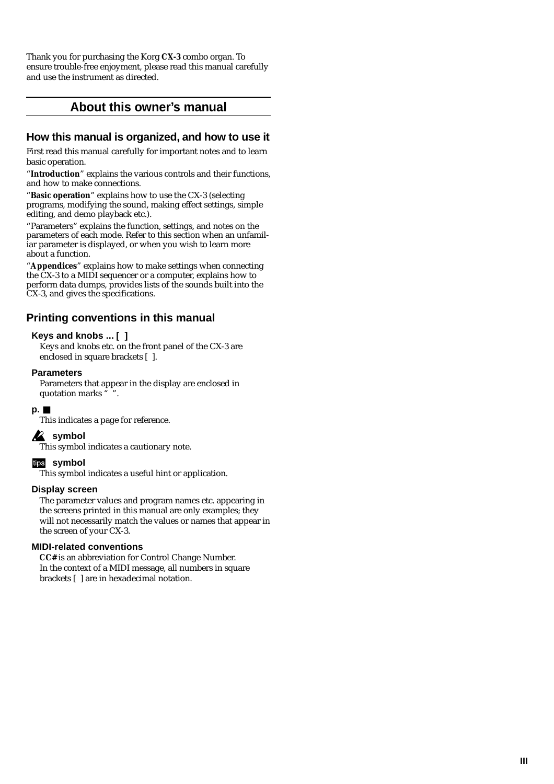Thank you for purchasing the Korg **CX-3** combo organ. To ensure trouble-free enjoyment, please read this manual carefully and use the instrument as directed.

# **About this owner's manual**

## **How this manual is organized, and how to use it**

First read this manual carefully for important notes and to learn basic operation.

"**Introduction**" explains the various controls and their functions, and how to make connections.

"**Basic operation**" explains how to use the CX-3 (selecting programs, modifying the sound, making effect settings, simple editing, and demo playback etc.).

"Parameters" explains the function, settings, and notes on the parameters of each mode. Refer to this section when an unfamiliar parameter is displayed, or when you wish to learn more about a function.

"**Appendices**" explains how to make settings when connecting the CX-3 to a MIDI sequencer or a computer, explains how to perform data dumps, provides lists of the sounds built into the CX-3, and gives the specifications.

# **Printing conventions in this manual**

#### **Keys and knobs ... [ ]**

Keys and knobs etc. on the front panel of the CX-3 are enclosed in square brackets [ ].

#### **Parameters**

Parameters that appear in the display are enclosed in quotation marks " ".

#### **p.**  ■

This indicates a page for reference.

#### **2** symbol

This symbol indicates a cautionary note.

#### **symbol**

This symbol indicates a useful hint or application.

#### **Display screen**

The parameter values and program names etc. appearing in the screens printed in this manual are only examples; they will not necessarily match the values or names that appear in the screen of your CX-3.

#### **MIDI-related conventions**

**CC#** is an abbreviation for Control Change Number. In the context of a MIDI message, all numbers in square brackets [ ] are in hexadecimal notation.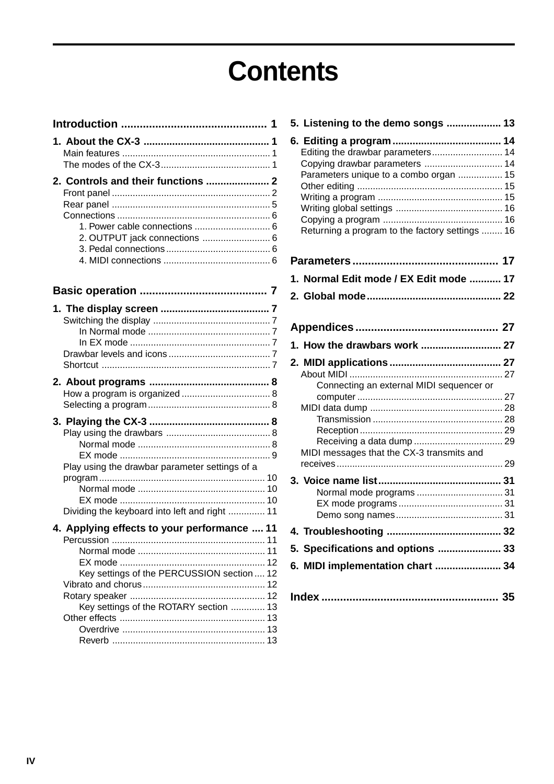# **Contents**

| 1. Power cable connections  6<br>2. OUTPUT jack connections  6                                  |
|-------------------------------------------------------------------------------------------------|
|                                                                                                 |
|                                                                                                 |
|                                                                                                 |
|                                                                                                 |
| Play using the drawbar parameter settings of a<br>Dividing the keyboard into left and right  11 |
| 4. Applying effects to your performance  11                                                     |
| Key settings of the PERCUSSION section  12<br>Key settings of the ROTARY section  13            |

| 5. Listening to the demo songs  13              |  |
|-------------------------------------------------|--|
|                                                 |  |
| Editing the drawbar parameters 14               |  |
| Copying drawbar parameters  14                  |  |
| Parameters unique to a combo organ  15          |  |
|                                                 |  |
|                                                 |  |
|                                                 |  |
| Returning a program to the factory settings  16 |  |
|                                                 |  |
| 1. Normal Edit mode / EX Edit mode  17          |  |
|                                                 |  |
|                                                 |  |
|                                                 |  |
| 1. How the drawbars work  27                    |  |
|                                                 |  |
|                                                 |  |
| Connecting an external MIDI sequencer or        |  |
|                                                 |  |
|                                                 |  |
|                                                 |  |
|                                                 |  |
| MIDI messages that the CX-3 transmits and       |  |
|                                                 |  |
|                                                 |  |
|                                                 |  |
|                                                 |  |
|                                                 |  |
|                                                 |  |
| 5. Specifications and options  33               |  |
| 6. MIDI implementation chart  34                |  |
|                                                 |  |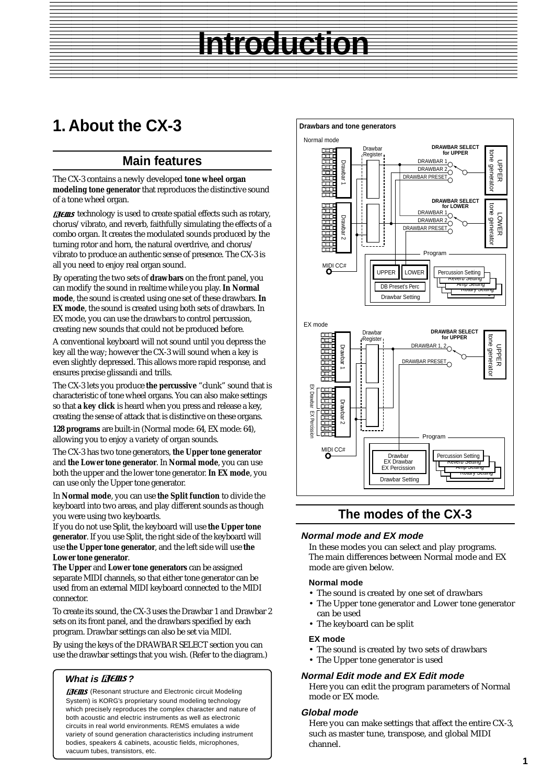#### <span id="page-4-0"></span>The Hotel Constitution and the Constitution of the Constitution of the Constitution of the Constitution of the 12345678901234567890123456789012123456789012345678901234567890121234567890123456789012345678901212345678901234567890123456789012123 **Introduction**

# **1. About the CX-3**

# **Main features**

The CX-3 contains a newly developed **tone wheel organ modeling tone generator** that reproduces the distinctive sound of a tone wheel organ.

**HEINS** technology is used to create spatial effects such as rotary, chorus/vibrato, and reverb, faithfully simulating the effects of a combo organ. It creates the modulated sounds produced by the turning rotor and horn, the natural overdrive, and chorus/ vibrato to produce an authentic sense of presence. The CX-3 is all you need to enjoy real organ sound.

By operating the two sets of **drawbars** on the front panel, you can modify the sound in realtime while you play. **In Normal mode**, the sound is created using one set of these drawbars. **In EX mode**, the sound is created using both sets of drawbars. In EX mode, you can use the drawbars to control percussion, creating new sounds that could not be produced before.

A conventional keyboard will not sound until you depress the key all the way; however the CX-3 will sound when a key is even slightly depressed. This allows more rapid response, and ensures precise glissandi and trills.

The CX-3 lets you produce **the percussive** "clunk" sound that is characteristic of tone wheel organs. You can also make settings so that **a key click** is heard when you press and release a key, creating the sense of attack that is distinctive on these organs.

**128 programs** are built-in (Normal mode: 64, EX mode: 64), allowing you to enjoy a variety of organ sounds.

The CX-3 has two tone generators, **the Upper tone generator** and **the Lower tone generator**. In **Normal mode**, you can use both the upper and the lower tone generator. **In EX mode**, you can use only the Upper tone generator.

In **Normal mode**, you can use **the Split function** to divide the keyboard into two areas, and play different sounds as though you were using two keyboards.

If you do not use Split, the keyboard will use **the Upper tone generator**. If you use Split, the right side of the keyboard will use **the Upper tone generator**, and the left side will use **the Lower tone generator**.

**The Upper** and **Lower tone generators** can be assigned separate MIDI channels, so that either tone generator can be used from an external MIDI keyboard connected to the MIDI connector.

To create its sound, the CX-3 uses the Drawbar 1 and Drawbar 2 sets on its front panel, and the drawbars specified by each program. Drawbar settings can also be set via MIDI.

By using the keys of the DRAWBAR SELECT section you can use the drawbar settings that you wish. (Refer to the diagram.)

#### **What is ELEILS?**

**[HEIIIS** (Resonant structure and Electronic circuit Modeling System) is KORG's proprietary sound modeling technology which precisely reproduces the complex character and nature of both acoustic and electric instruments as well as electronic circuits in real world environments. REMS emulates a wide variety of sound generation characteristics including instrument bodies, speakers & cabinets, acoustic fields, microphones, vacuum tubes, transistors, etc.



**Introduction**

# **The modes of the CX-3**

#### **Normal mode and EX mode**

In these modes you can select and play programs. The main differences between Normal mode and EX mode are given below.

#### **Normal mode**

- The sound is created by one set of drawbars
- The Upper tone generator and Lower tone generator can be used
- The keyboard can be split

#### **EX mode**

- The sound is created by two sets of drawbars
- The Upper tone generator is used

#### **Normal Edit mode and EX Edit mode**

Here you can edit the program parameters of Normal mode or EX mode.

#### **Global mode**

Here you can make settings that affect the entire CX-3, such as master tune, transpose, and global MIDI channel.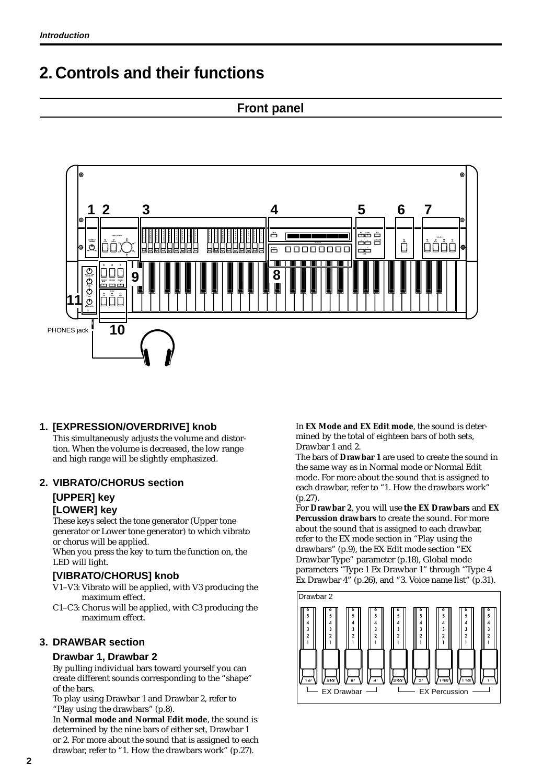# <span id="page-5-0"></span>**2. Controls and their functions**

# **Front panel**



## **1. [EXPRESSION/OVERDRIVE] knob**

This simultaneously adjusts the volume and distortion. When the volume is decreased, the low range and high range will be slightly emphasized.

#### **2. VIBRATO/CHORUS section**

# **[UPPER] key**

# **[LOWER] key**

These keys select the tone generator (Upper tone generator or Lower tone generator) to which vibrato or chorus will be applied.

When you press the key to turn the function on, the LED will light.

#### **[VIBRATO/CHORUS] knob**

- V1–V3: Vibrato will be applied, with V3 producing the maximum effect.
- C1–C3: Chorus will be applied, with C3 producing the maximum effect.

#### **3. DRAWBAR section**

#### **Drawbar 1, Drawbar 2**

By pulling individual bars toward yourself you can create different sounds corresponding to the "shape" of the bars.

To play using Drawbar 1 and Drawbar 2, refer to "Play using the drawbars" (p.8).

In **Normal mode and Normal Edit mode**, the sound is determined by the nine bars of either set, Drawbar 1 or 2. For more about the sound that is assigned to each drawbar, refer to "1. How the drawbars work" (p.27).

In **EX Mode and EX Edit mode**, the sound is determined by the total of eighteen bars of both sets, Drawbar 1 and 2.

The bars of **Drawbar 1** are used to create the sound in the same way as in Normal mode or Normal Edit mode. For more about the sound that is assigned to each drawbar, refer to "1. How the drawbars work" (p.27).

For **Drawbar 2**, you will use **the EX Drawbars** and **EX Percussion drawbars** to create the sound. For more about the sound that is assigned to each drawbar, refer to the EX mode section in "Play using the drawbars" (p.9), the EX Edit mode section "EX Drawbar Type" parameter (p.18), Global mode parameters "Type 1 Ex Drawbar 1" through "Type 4 Ex Drawbar 4" (p.26), and "3. Voice name list" (p.31).

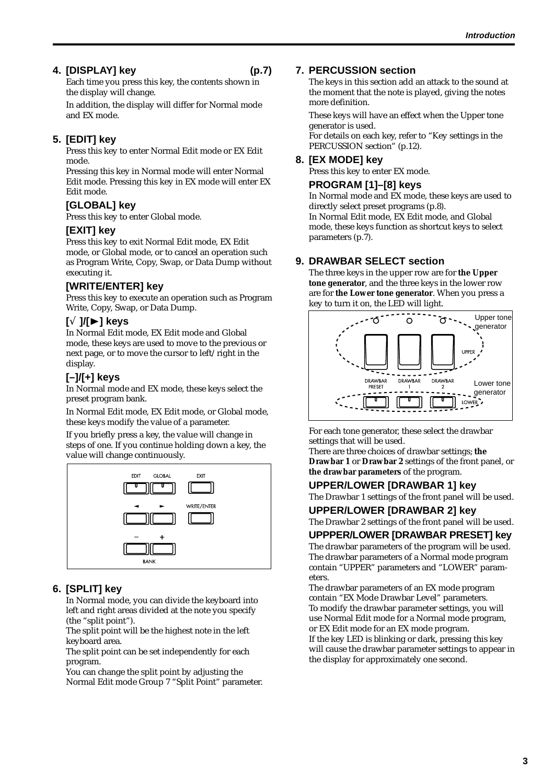## **4. [DISPLAY] key (p.7)**

Each time you press this key, the contents shown in the display will change.

In addition, the display will differ for Normal mode and EX mode.

## **5. [EDIT] key**

Press this key to enter Normal Edit mode or EX Edit mode.

Pressing this key in Normal mode will enter Normal Edit mode. Pressing this key in EX mode will enter EX Edit mode.

## **[GLOBAL] key**

Press this key to enter Global mode.

#### **[EXIT] key**

Press this key to exit Normal Edit mode, EX Edit mode, or Global mode, or to cancel an operation such as Program Write, Copy, Swap, or Data Dump without executing it.

## **[WRITE/ENTER] key**

Press this key to execute an operation such as Program Write, Copy, Swap, or Data Dump.

#### **[**√ **]/[**®**] keys**

In Normal Edit mode, EX Edit mode and Global mode, these keys are used to move to the previous or next page, or to move the cursor to left/right in the display.

# **[–]/[+] keys**

In Normal mode and EX mode, these keys select the preset program bank.

In Normal Edit mode, EX Edit mode, or Global mode, these keys modify the value of a parameter.

If you briefly press a key, the value will change in steps of one. If you continue holding down a key, the value will change continuously.



## **6. [SPLIT] key**

In Normal mode, you can divide the keyboard into left and right areas divided at the note you specify (the "split point").

The split point will be the highest note in the left keyboard area.

The split point can be set independently for each program.

You can change the split point by adjusting the Normal Edit mode Group 7 "Split Point" parameter.

#### **7. PERCUSSION section**

The keys in this section add an attack to the sound at the moment that the note is played, giving the notes more definition.

These keys will have an effect when the Upper tone generator is used.

For details on each key, refer to "Key settings in the PERCUSSION section" (p.12).

#### **8. [EX MODE] key**

Press this key to enter EX mode.

#### **PROGRAM [1]–[8] keys**

In Normal mode and EX mode, these keys are used to directly select preset programs (p.8). In Normal Edit mode, EX Edit mode, and Global mode, these keys function as shortcut keys to select parameters (p.7).

#### **9. DRAWBAR SELECT section**

The three keys in the upper row are for **the Upper tone generator**, and the three keys in the lower row are for **the Lower tone generator**. When you press a key to turn it on, the LED will light.



For each tone generator, these select the drawbar settings that will be used.

There are three choices of drawbar settings; **the Drawbar 1** or **Drawbar 2** settings of the front panel, or **the drawbar parameters** of the program.

#### **UPPER/LOWER [DRAWBAR 1] key**

The Drawbar 1 settings of the front panel will be used.

**UPPER/LOWER [DRAWBAR 2] key**

The Drawbar 2 settings of the front panel will be used.

#### **UPPPER/LOWER [DRAWBAR PRESET] key**

The drawbar parameters of the program will be used. The drawbar parameters of a Normal mode program contain "UPPER" parameters and "LOWER" parameters.

The drawbar parameters of an EX mode program contain "EX Mode Drawbar Level" parameters. To modify the drawbar parameter settings, you will use Normal Edit mode for a Normal mode program, or EX Edit mode for an EX mode program. If the key LED is blinking or dark, pressing this key will cause the drawbar parameter settings to appear in the display for approximately one second.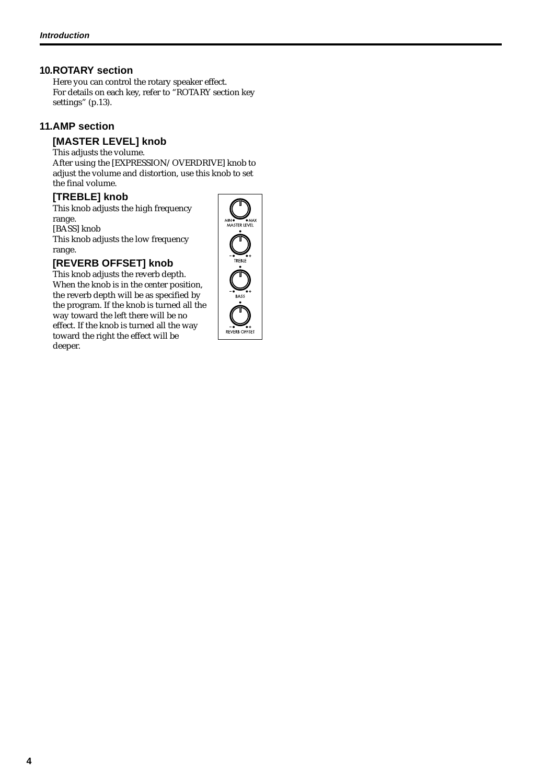#### **10.ROTARY section**

Here you can control the rotary speaker effect. For details on each key, refer to "ROTARY section key settings" (p.13).

#### **11.AMP section**

#### **[MASTER LEVEL] knob**

This adjusts the volume. After using the [EXPRESSION/OVERDRIVE] knob to adjust the volume and distortion, use this knob to set the final volume.

#### **[TREBLE] knob**

This knob adjusts the high frequency range. [BASS] knob This knob adjusts the low frequency

#### range. **[REVERB OFFSET] knob**

This knob adjusts the reverb depth. When the knob is in the center position, the reverb depth will be as specified by the program. If the knob is turned all the way toward the left there will be no effect. If the knob is turned all the way toward the right the effect will be deeper.

MASTRILITY REVERB OFFSET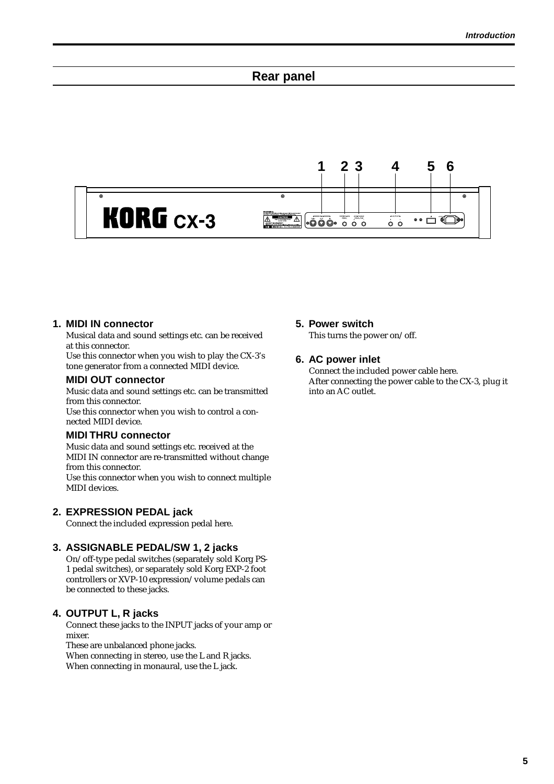## **Rear panel**

<span id="page-8-0"></span>

#### **1. MIDI IN connector**

Musical data and sound settings etc. can be received at this connector.

Use this connector when you wish to play the CX-3's tone generator from a connected MIDI device.

#### **MIDI OUT connector**

Music data and sound settings etc. can be transmitted from this connector.

Use this connector when you wish to control a connected MIDI device.

#### **MIDI THRU connector**

Music data and sound settings etc. received at the MIDI IN connector are re-transmitted without change from this connector.

Use this connector when you wish to connect multiple MIDI devices.

#### **2. EXPRESSION PEDAL jack**

Connect the included expression pedal here.

#### **3. ASSIGNABLE PEDAL/SW 1, 2 jacks**

On/off-type pedal switches (separately sold Korg PS-1 pedal switches), or separately sold Korg EXP-2 foot controllers or XVP-10 expression/volume pedals can be connected to these jacks.

#### **4. OUTPUT L, R jacks**

Connect these jacks to the INPUT jacks of your amp or mixer.

These are unbalanced phone jacks.

When connecting in stereo, use the L and R jacks. When connecting in monaural, use the L jack.

#### **5. Power switch**

This turns the power on/off.

#### **6. AC power inlet**

Connect the included power cable here. After connecting the power cable to the CX-3, plug it into an AC outlet.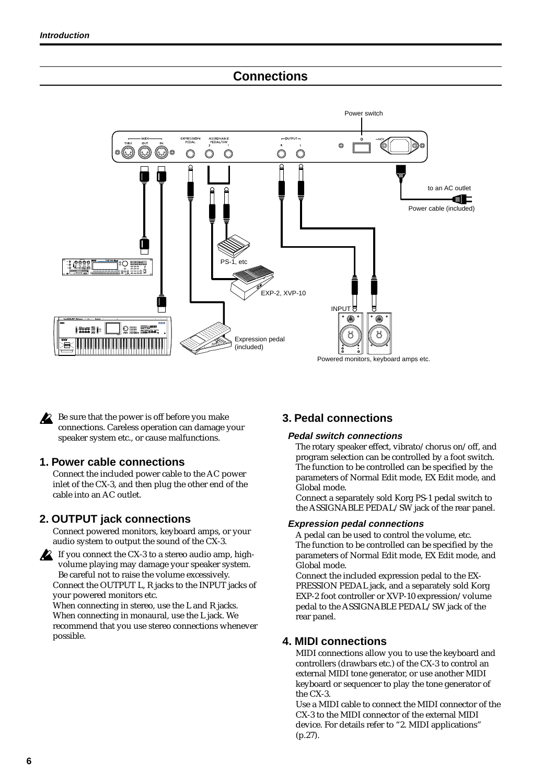# **Connections**

<span id="page-9-0"></span>

Be sure that the power is off before you make connections. Careless operation can damage your speaker system etc., or cause malfunctions.

#### **1. Power cable connections**

Connect the included power cable to the AC power inlet of the CX-3, and then plug the other end of the cable into an AC outlet.

#### **2. OUTPUT jack connections**

Connect powered monitors, keyboard amps, or your audio system to output the sound of the CX-3.



If you connect the CX-3 to a stereo audio amp, highvolume playing may damage your speaker system. Be careful not to raise the volume excessively. Connect the OUTPUT L, R jacks to the INPUT jacks of your powered monitors etc.

When connecting in stereo, use the L and R jacks. When connecting in monaural, use the L jack. We recommend that you use stereo connections whenever possible.

## **3. Pedal connections**

#### **Pedal switch connections**

The rotary speaker effect, vibrato/chorus on/off, and program selection can be controlled by a foot switch. The function to be controlled can be specified by the parameters of Normal Edit mode, EX Edit mode, and Global mode.

Connect a separately sold Korg PS-1 pedal switch to the ASSIGNABLE PEDAL/SW jack of the rear panel.

#### **Expression pedal connections**

A pedal can be used to control the volume, etc. The function to be controlled can be specified by the parameters of Normal Edit mode, EX Edit mode, and Global mode.

Connect the included expression pedal to the EX-PRESSION PEDAL jack, and a separately sold Korg EXP-2 foot controller or XVP-10 expression/volume pedal to the ASSIGNABLE PEDAL/SW jack of the rear panel.

#### **4. MIDI connections**

MIDI connections allow you to use the keyboard and controllers (drawbars etc.) of the CX-3 to control an external MIDI tone generator, or use another MIDI keyboard or sequencer to play the tone generator of the CX-3.

Use a MIDI cable to connect the MIDI connector of the CX-3 to the MIDI connector of the external MIDI device. For details refer to "2. MIDI applications" (p.27).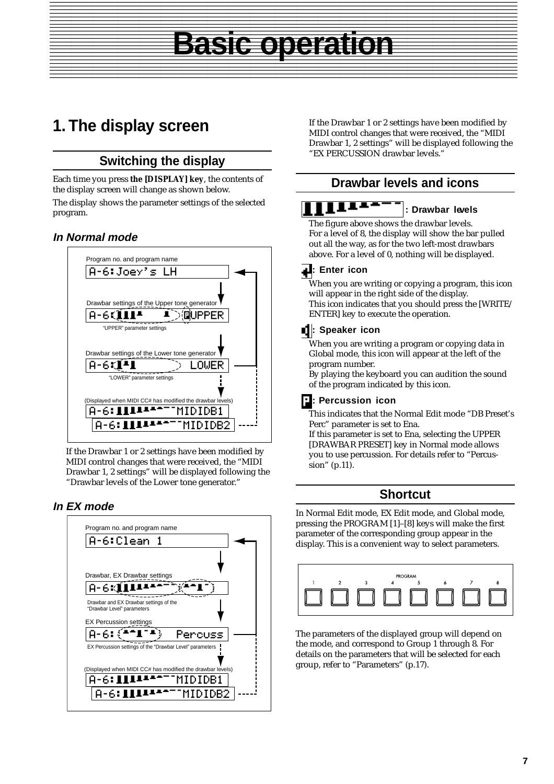# **1. The display screen**

# **Switching the display**

Each time you press **the [DISPLAY] key**, the contents of the display screen will change as shown below. The display shows the parameter settings of the selected program.

## **In Normal mode**



If the Drawbar 1 or 2 settings have been modified by MIDI control changes that were received, the "MIDI Drawbar 1, 2 settings" will be displayed following the "Drawbar levels of the Lower tone generator."

#### **In EX mode**



If the Drawbar 1 or 2 settings have been modified by MIDI control changes that were received, the "MIDI Drawbar 1, 2 settings" will be displayed following the "EX PERCUSSION drawbar levels."

# **Drawbar levels and icons**

#### u. **: Drawbar levels**

The figure above shows the drawbar levels.

**Basic operation**

For a level of 8, the display will show the bar pulled out all the way, as for the two left-most drawbars above. For a level of 0, nothing will be displayed.

#### **1.** Enter icon

<span id="page-10-0"></span>**Basic operation** 12345678901234567890123456789012123456789012345678901234567890121234567890123456789012345678901212345678901234567890123456789012123

> When you are writing or copying a program, this icon will appear in the right side of the display. This icon indicates that you should press the [WRITE/ ENTER] key to execute the operation.

## **: Speaker icon**

When you are writing a program or copying data in Global mode, this icon will appear at the left of the program number.

By playing the keyboard you can audition the sound of the program indicated by this icon.

#### **: Percussion icon**

This indicates that the Normal Edit mode "DB Preset's Perc" parameter is set to Ena.

If this parameter is set to Ena, selecting the UPPER [DRAWBAR PRESET] key in Normal mode allows you to use percussion. For details refer to "Percussion" (p.11).

## **Shortcut**

In Normal Edit mode, EX Edit mode, and Global mode, pressing the PROGRAM [1]–[8] keys will make the first parameter of the corresponding group appear in the display. This is a convenient way to select parameters.



The parameters of the displayed group will depend on the mode, and correspond to Group 1 through 8. For details on the parameters that will be selected for each group, refer to "Parameters" (p.17).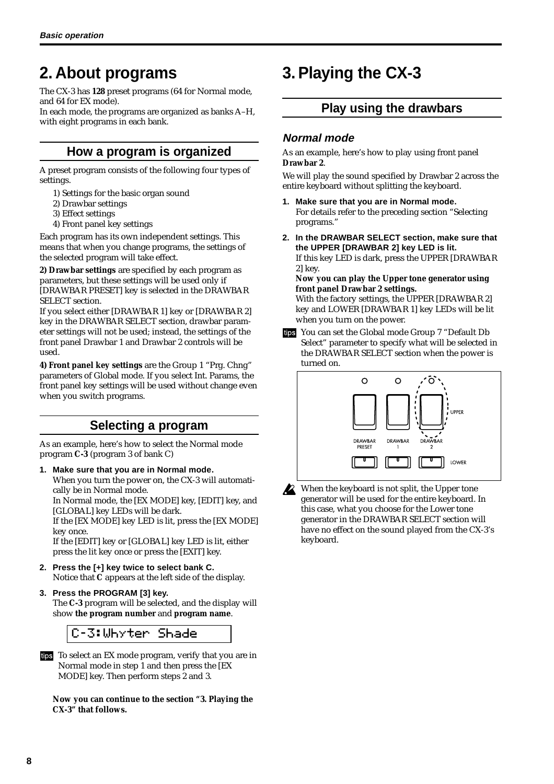# <span id="page-11-0"></span>**2. About programs**

The CX-3 has **128** preset programs (64 for Normal mode, and 64 for EX mode).

In each mode, the programs are organized as banks A–H, with eight programs in each bank.

# **How a program is organized**

A preset program consists of the following four types of settings.

- 1) Settings for the basic organ sound
- 2) Drawbar settings
- 3) Effect settings
- 4) Front panel key settings

Each program has its own independent settings. This means that when you change programs, the settings of the selected program will take effect.

**2) Drawbar settings** are specified by each program as parameters, but these settings will be used only if [DRAWBAR PRESET] key is selected in the DRAWBAR SELECT section.

If you select either [DRAWBAR 1] key or [DRAWBAR 2] key in the DRAWBAR SELECT section, drawbar parameter settings will not be used; instead, the settings of the front panel Drawbar 1 and Drawbar 2 controls will be used.

**4) Front panel key settings** are the Group 1 "Prg. Chng" parameters of Global mode. If you select Int. Params, the front panel key settings will be used without change even when you switch programs.

# **Selecting a program**

As an example, here's how to select the Normal mode program **C-3** (program 3 of bank C)

**1. Make sure that you are in Normal mode.** When you turn the power on, the CX-3 will automati-

cally be in Normal mode. In Normal mode, the [EX MODE] key, [EDIT] key, and [GLOBAL] key LEDs will be dark.

If the [EX MODE] key LED is lit, press the [EX MODE] key once.

If the [EDIT] key or [GLOBAL] key LED is lit, either press the lit key once or press the [EXIT] key.

- **2. Press the [+] key twice to select bank C.** Notice that **C** appears at the left side of the display.
- **3. Press the PROGRAM [3] key.** The **C-3** program will be selected, and the display will show **the program number** and **program name**.



To select an EX mode program, verify that you are in Normal mode in step 1 and then press the [EX MODE] key. Then perform steps 2 and 3.

**Now you can continue to the section "3. Playing the CX-3" that follows.**

# **3. Playing the CX-3**

# **Play using the drawbars**

## **Normal mode**

As an example, here's how to play using front panel **Drawbar 2**.

We will play the sound specified by Drawbar 2 across the entire keyboard without splitting the keyboard.

- **1. Make sure that you are in Normal mode.** For details refer to the preceding section "Selecting programs."
- **2. In the DRAWBAR SELECT section, make sure that the UPPER [DRAWBAR 2] key LED is lit.**

If this key LED is dark, press the UPPER [DRAWBAR 2] key.

**Now you can play the Upper tone generator using front panel Drawbar 2 settings.**

With the factory settings, the UPPER [DRAWBAR 2] key and LOWER [DRAWBAR 1] key LEDs will be lit when you turn on the power.

You can set the Global mode Group 7 "Default Db Select" parameter to specify what will be selected in the DRAWBAR SELECT section when the power is turned on.



When the keyboard is not split, the Upper tone generator will be used for the entire keyboard. In this case, what you choose for the Lower tone generator in the DRAWBAR SELECT section will have no effect on the sound played from the CX-3's keyboard.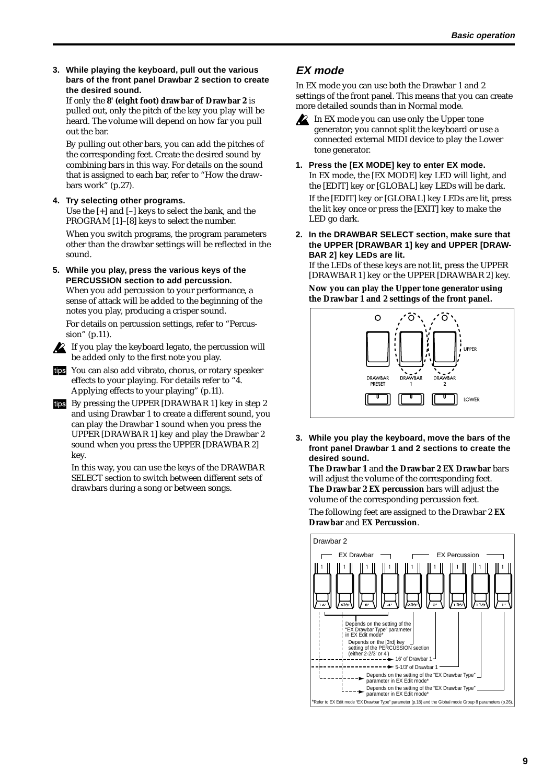<span id="page-12-0"></span>**3. While playing the keyboard, pull out the various bars of the front panel Drawbar 2 section to create the desired sound.**

If only the **8' (eight foot) drawbar of Drawbar 2** is pulled out, only the pitch of the key you play will be heard. The volume will depend on how far you pull out the bar.

By pulling out other bars, you can add the pitches of the corresponding feet. Create the desired sound by combining bars in this way. For details on the sound that is assigned to each bar, refer to "How the drawbars work" (p.27).

#### **4. Try selecting other programs.**

Use the [+] and [–] keys to select the bank, and the PROGRAM [1]–[8] keys to select the number.

When you switch programs, the program parameters other than the drawbar settings will be reflected in the sound.

**5. While you play, press the various keys of the PERCUSSION section to add percussion.** When you add percussion to your performance, a

sense of attack will be added to the beginning of the notes you play, producing a crisper sound.

For details on percussion settings, refer to "Percussion" (p.11).

If you play the keyboard legato, the percussion will be added only to the first note you play.

- You can also add vibrato, chorus, or rotary speaker effects to your playing. For details refer to "4. Applying effects to your playing" (p.11).
- By pressing the UPPER [DRAWBAR 1] key in step 2 and using Drawbar 1 to create a different sound, you can play the Drawbar 1 sound when you press the UPPER [DRAWBAR 1] key and play the Drawbar 2 sound when you press the UPPER [DRAWBAR 2] key.

In this way, you can use the keys of the DRAWBAR SELECT section to switch between different sets of drawbars during a song or between songs.

## **EX mode**

In EX mode you can use both the Drawbar 1 and 2 settings of the front panel. This means that you can create more detailed sounds than in Normal mode.

- **2** In EX mode you can use only the Upper tone generator; you cannot split the keyboard or use a connected external MIDI device to play the Lower tone generator.
- **1. Press the [EX MODE] key to enter EX mode.** In EX mode, the [EX MODE] key LED will light, and the [EDIT] key or [GLOBAL] key LEDs will be dark. If the [EDIT] key or [GLOBAL] key LEDs are lit, press the lit key once or press the [EXIT] key to make the LED go dark.
- **2. In the DRAWBAR SELECT section, make sure that the UPPER [DRAWBAR 1] key and UPPER [DRAW-BAR 2] key LEDs are lit.**

If the LEDs of these keys are not lit, press the UPPER [DRAWBAR 1] key or the UPPER [DRAWBAR 2] key.

**Now you can play the Upper tone generator using the Drawbar 1 and 2 settings of the front panel.**



**3. While you play the keyboard, move the bars of the front panel Drawbar 1 and 2 sections to create the desired sound.**

**The Drawbar 1** and **the Drawbar 2 EX Drawbar** bars will adjust the volume of the corresponding feet. **The Drawbar 2 EX percussion** bars will adjust the volume of the corresponding percussion feet.

The following feet are assigned to the Drawbar 2 **EX Drawbar** and **EX Percussion**.

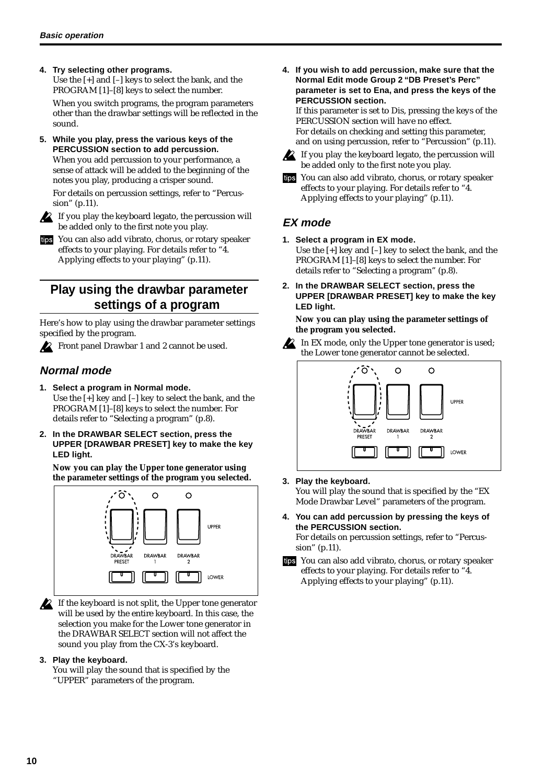#### <span id="page-13-0"></span>**4. Try selecting other programs.**

Use the [+] and [–] keys to select the bank, and the PROGRAM [1]–[8] keys to select the number.

When you switch programs, the program parameters other than the drawbar settings will be reflected in the sound.

**5. While you play, press the various keys of the PERCUSSION section to add percussion.** When you add percussion to your performance, a

sense of attack will be added to the beginning of the notes you play, producing a crisper sound.

For details on percussion settings, refer to "Percussion" (p.11).



 $\triangle$  If you play the keyboard legato, the percussion will be added only to the first note you play.

You can also add vibrato, chorus, or rotary speaker effects to your playing. For details refer to "4. Applying effects to your playing" (p.11).

# **Play using the drawbar parameter settings of a program**

Here's how to play using the drawbar parameter settings specified by the program.

Front panel Drawbar 1 and 2 cannot be used.

# **Normal mode**

- **1. Select a program in Normal mode.** Use the [+] key and [–] key to select the bank, and the PROGRAM [1]–[8] keys to select the number. For details refer to "Selecting a program" (p.8).
- **2. In the DRAWBAR SELECT section, press the UPPER [DRAWBAR PRESET] key to make the key LED light.**

**Now you can play the Upper tone generator using the parameter settings of the program you selected.**



If the keyboard is not split, the Upper tone generator will be used by the entire keyboard. In this case, the selection you make for the Lower tone generator in the DRAWBAR SELECT section will not affect the sound you play from the CX-3's keyboard.

#### **3. Play the keyboard.**

You will play the sound that is specified by the "UPPER" parameters of the program.

**4. If you wish to add percussion, make sure that the Normal Edit mode Group 2 "DB Preset's Perc" parameter is set to Ena, and press the keys of the PERCUSSION section.** If this parameter is set to Dis, pressing the keys of the PERCUSSION section will have no effect.

For details on checking and setting this parameter, and on using percussion, refer to "Percussion" (p.11).



If you play the keyboard legato, the percussion will be added only to the first note you play.

You can also add vibrato, chorus, or rotary speaker tips effects to your playing. For details refer to "4. Applying effects to your playing" (p.11).

# **EX mode**

- **1. Select a program in EX mode.**
	- Use the [+] key and [–] key to select the bank, and the PROGRAM [1]–[8] keys to select the number. For details refer to "Selecting a program" (p.8).
- **2. In the DRAWBAR SELECT section, press the UPPER [DRAWBAR PRESET] key to make the key LED light.**

#### **Now you can play using the parameter settings of the program you selected.**



In EX mode, only the Upper tone generator is used; the Lower tone generator cannot be selected.



#### **3. Play the keyboard.**

You will play the sound that is specified by the "EX Mode Drawbar Level" parameters of the program.

**4. You can add percussion by pressing the keys of the PERCUSSION section.**

For details on percussion settings, refer to "Percussion" (p.11).

tips You can also add vibrato, chorus, or rotary speaker effects to your playing. For details refer to "4. Applying effects to your playing" (p.11).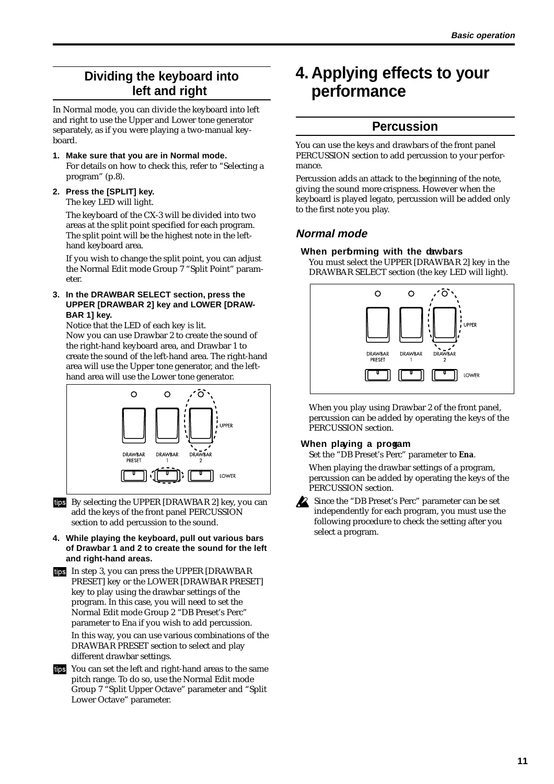# <span id="page-14-0"></span>**Dividing the keyboard into left and right**

In Normal mode, you can divide the keyboard into left and right to use the Upper and Lower tone generator separately, as if you were playing a two-manual keyboard.

**1. Make sure that you are in Normal mode.**

For details on how to check this, refer to "Selecting a program" (p.8).

**2. Press the [SPLIT] key.** The key LED will light.

> The keyboard of the CX-3 will be divided into two areas at the split point specified for each program. The split point will be the highest note in the lefthand keyboard area.

If you wish to change the split point, you can adjust the Normal Edit mode Group 7 "Split Point" parameter.

**3. In the DRAWBAR SELECT section, press the UPPER [DRAWBAR 2] key and LOWER [DRAW-BAR 1] key.**

Notice that the LED of each key is lit. Now you can use Drawbar 2 to create the sound of the right-hand keyboard area, and Drawbar 1 to create the sound of the left-hand area. The right-hand area will use the Upper tone generator, and the lefthand area will use the Lower tone generator.



- ins By selecting the UPPER [DRAWBAR 2] key, you can add the keys of the front panel PERCUSSION section to add percussion to the sound.
- **4. While playing the keyboard, pull out various bars of Drawbar 1 and 2 to create the sound for the left and right-hand areas.**
- In step 3, you can press the UPPER [DRAWBAR PRESET] key or the LOWER [DRAWBAR PRESET] key to play using the drawbar settings of the program. In this case, you will need to set the Normal Edit mode Group 2 "DB Preset's Perc" parameter to Ena if you wish to add percussion.

In this way, you can use various combinations of the DRAWBAR PRESET section to select and play different drawbar settings.

You can set the left and right-hand areas to the same pitch range. To do so, use the Normal Edit mode Group 7 "Split Upper Octave" parameter and "Split Lower Octave" parameter.

# **4. Applying effects to your performance**

# **Percussion**

You can use the keys and drawbars of the front panel PERCUSSION section to add percussion to your performance.

Percussion adds an attack to the beginning of the note, giving the sound more crispness. However when the keyboard is played legato, percussion will be added only to the first note you play.

## **Normal mode**

#### **When performing with the drawbars**

You must select the UPPER [DRAWBAR 2] key in the DRAWBAR SELECT section (the key LED will light).



When you play using Drawbar 2 of the front panel, percussion can be added by operating the keys of the PERCUSSION section.

#### **When playing a progam**

Set the "DB Preset's Perc" parameter to **Ena**.

When playing the drawbar settings of a program, percussion can be added by operating the keys of the PERCUSSION section.



Since the "DB Preset's Perc" parameter can be set independently for each program, you must use the following procedure to check the setting after you select a program.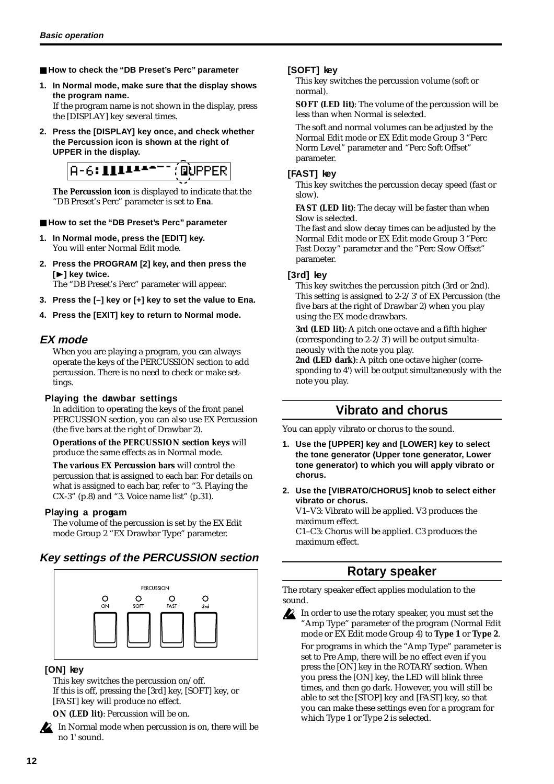- <span id="page-15-0"></span>■ How to check the "DB Preset's Perc" parameter
- **1. In Normal mode, make sure that the display shows the program name.**

If the program name is not shown in the display, press the [DISPLAY] key several times.

**2. Press the [DISPLAY] key once, and check whether the Percussion icon is shown at the right of UPPER in the display.**



**The Percussion icon** is displayed to indicate that the "DB Preset's Perc" parameter is set to **Ena**.

#### ■ How to set the "DB Preset's Perc" parameter

- **1. In Normal mode, press the [EDIT] key.** You will enter Normal Edit mode.
- **2. Press the PROGRAM [2] key, and then press the [**®**] key twice.**

The "DB Preset's Perc" parameter will appear.

- **3. Press the [–] key or [+] key to set the value to Ena.**
- **4. Press the [EXIT] key to return to Normal mode.**

#### **EX mode**

When you are playing a program, you can always operate the keys of the PERCUSSION section to add percussion. There is no need to check or make settings.

#### **Playing the dawbar settings**

In addition to operating the keys of the front panel PERCUSSION section, you can also use EX Percussion (the five bars at the right of Drawbar 2).

**Operations of the PERCUSSION section keys** will produce the same effects as in Normal mode.

**The various EX Percussion bars** will control the percussion that is assigned to each bar. For details on what is assigned to each bar, refer to "3. Playing the  $CX-3"$  (p.8) and "3. Voice name list" (p.31).

#### **Playing a progam**

The volume of the percussion is set by the EX Edit mode Group 2 "EX Drawbar Type" parameter.

#### **Key settings of the PERCUSSION section**



#### **[ON] key**

This key switches the percussion on/off. If this is off, pressing the [3rd] key, [SOFT] key, or [FAST] key will produce no effect.

**ON (LED lit)**: Percussion will be on.

In Normal mode when percussion is on, there will be no 1' sound.

#### **[SOFT] key**

This key switches the percussion volume (soft or normal).

**SOFT (LED lit)**: The volume of the percussion will be less than when Normal is selected.

The soft and normal volumes can be adjusted by the Normal Edit mode or EX Edit mode Group 3 "Perc Norm Level" parameter and "Perc Soft Offset" parameter.

#### **[FAST] key**

This key switches the percussion decay speed (fast or slow).

**FAST (LED lit)**: The decay will be faster than when Slow is selected.

The fast and slow decay times can be adjusted by the Normal Edit mode or EX Edit mode Group 3 "Perc Fast Decay" parameter and the "Perc Slow Offset" parameter.

#### **[3rd] key**

This key switches the percussion pitch (3rd or 2nd). This setting is assigned to 2-2/3' of EX Percussion (the five bars at the right of Drawbar 2) when you play using the EX mode drawbars.

**3rd (LED lit)**: A pitch one octave and a fifth higher (corresponding to 2-2/3') will be output simultaneously with the note you play.

**2nd (LED dark)**: A pitch one octave higher (corresponding to 4') will be output simultaneously with the note you play.

## **Vibrato and chorus**

You can apply vibrato or chorus to the sound.

- **1. Use the [UPPER] key and [LOWER] key to select the tone generator (Upper tone generator, Lower tone generator) to which you will apply vibrato or chorus.**
- **2. Use the [VIBRATO/CHORUS] knob to select either vibrato or chorus.**

V1–V3: Vibrato will be applied. V3 produces the maximum effect.

C1–C3: Chorus will be applied. C3 produces the maximum effect.

# **Rotary speaker**

The rotary speaker effect applies modulation to the sound.

In order to use the rotary speaker, you must set the "Amp Type" parameter of the program (Normal Edit mode or EX Edit mode Group 4) to **Type 1** or **Type 2**. For programs in which the "Amp Type" parameter is set to Pre Amp, there will be no effect even if you press the [ON] key in the ROTARY section. When you press the [ON] key, the LED will blink three times, and then go dark. However, you will still be able to set the [STOP] key and [FAST] key, so that you can make these settings even for a program for which Type 1 or Type 2 is selected.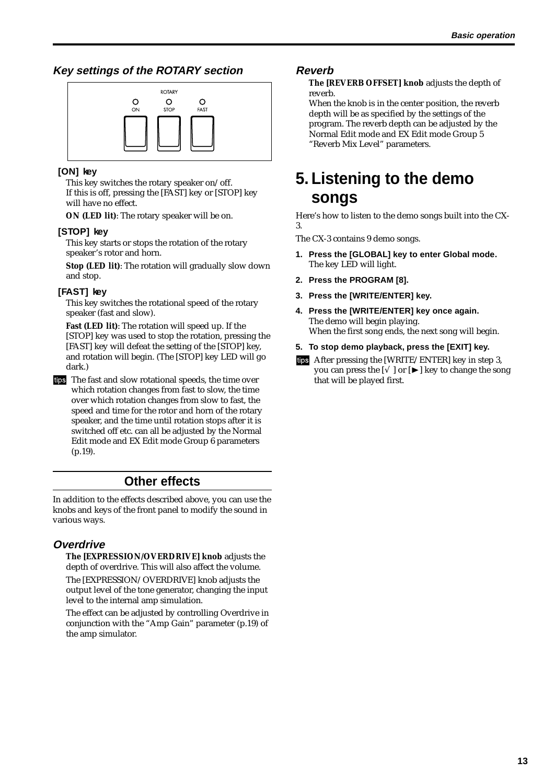## <span id="page-16-0"></span>**Key settings of the ROTARY section**



#### **[ON] key**

This key switches the rotary speaker on/off. If this is off, pressing the [FAST] key or [STOP] key will have no effect.

**ON (LED lit)**: The rotary speaker will be on.

#### **[STOP] key**

This key starts or stops the rotation of the rotary speaker's rotor and horn.

**Stop (LED lit)**: The rotation will gradually slow down and stop.

#### **[FAST] key**

This key switches the rotational speed of the rotary speaker (fast and slow).

**Fast (LED lit)**: The rotation will speed up. If the [STOP] key was used to stop the rotation, pressing the [FAST] key will defeat the setting of the [STOP] key, and rotation will begin. (The [STOP] key LED will go dark.)

tips The fast and slow rotational speeds, the time over which rotation changes from fast to slow, the time over which rotation changes from slow to fast, the speed and time for the rotor and horn of the rotary speaker, and the time until rotation stops after it is switched off etc. can all be adjusted by the Normal Edit mode and EX Edit mode Group 6 parameters (p.19).

# **Other effects**

In addition to the effects described above, you can use the knobs and keys of the front panel to modify the sound in various ways.

## **Overdrive**

**The [EXPRESSION/OVERDRIVE] knob** adjusts the depth of overdrive. This will also affect the volume.

The [EXPRESSION/OVERDRIVE] knob adjusts the output level of the tone generator, changing the input level to the internal amp simulation.

The effect can be adjusted by controlling Overdrive in conjunction with the "Amp Gain" parameter (p.19) of the amp simulator.

### **Reverb**

**The [REVERB OFFSET] knob** adjusts the depth of reverb.

When the knob is in the center position, the reverb depth will be as specified by the settings of the program. The reverb depth can be adjusted by the Normal Edit mode and EX Edit mode Group 5 "Reverb Mix Level" parameters.

# **5. Listening to the demo songs**

Here's how to listen to the demo songs built into the CX-3.

The CX-3 contains 9 demo songs.

- **1. Press the [GLOBAL] key to enter Global mode.** The key LED will light.
- **2. Press the PROGRAM [8].**
- **3. Press the [WRITE/ENTER] key.**
- **4. Press the [WRITE/ENTER] key once again.** The demo will begin playing. When the first song ends, the next song will begin.
- **5. To stop demo playback, press the [EXIT] key.**
- After pressing the [WRITE/ENTER] key in step 3, you can press the  $[\sqrt{}]$  or  $[\blacktriangleright]$  key to change the song that will be played first.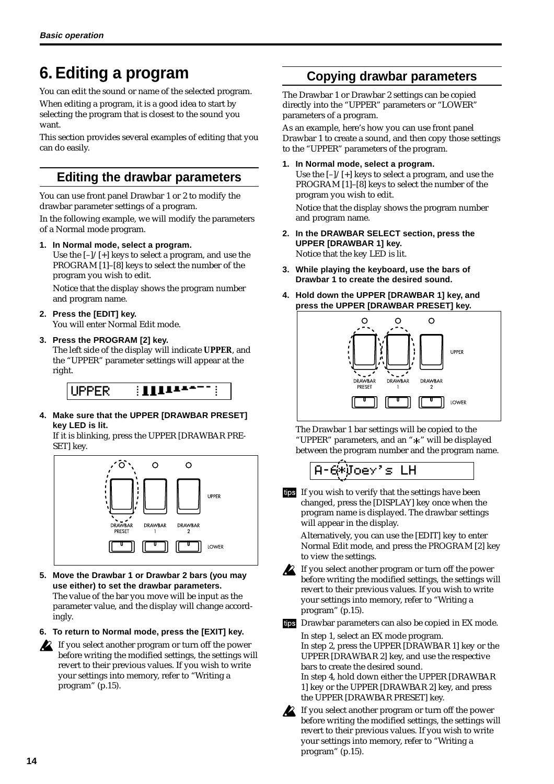# <span id="page-17-0"></span>**6. Editing a program**

You can edit the sound or name of the selected program. When editing a program, it is a good idea to start by selecting the program that is closest to the sound you want.

This section provides several examples of editing that you can do easily.

# **Editing the drawbar parameters**

You can use front panel Drawbar 1 or 2 to modify the drawbar parameter settings of a program.

In the following example, we will modify the parameters of a Normal mode program.

**1. In Normal mode, select a program.**

Use the  $[-]/[+]$  keys to select a program, and use the PROGRAM [1]–[8] keys to select the number of the program you wish to edit.

Notice that the display shows the program number and program name.

**2. Press the [EDIT] key.**

You will enter Normal Edit mode.

#### **3. Press the PROGRAM [2] key.**

The left side of the display will indicate **UPPER**, and the "UPPER" parameter settings will appear at the right.



**4. Make sure that the UPPER [DRAWBAR PRESET] key LED is lit.**

If it is blinking, press the UPPER [DRAWBAR PRE-SET] key.



- **5. Move the Drawbar 1 or Drawbar 2 bars (you may use either) to set the drawbar parameters.** The value of the bar you move will be input as the parameter value, and the display will change accordingly.
- **6. To return to Normal mode, press the [EXIT] key.**
- If you select another program or turn off the power before writing the modified settings, the settings will revert to their previous values. If you wish to write your settings into memory, refer to "Writing a program" (p.15).

# **Copying drawbar parameters**

The Drawbar 1 or Drawbar 2 settings can be copied directly into the "UPPER" parameters or "LOWER" parameters of a program.

As an example, here's how you can use front panel Drawbar 1 to create a sound, and then copy those settings to the "UPPER" parameters of the program.

#### **1. In Normal mode, select a program.**

Use the  $[-]/[+]$  keys to select a program, and use the PROGRAM [1]–[8] keys to select the number of the program you wish to edit.

Notice that the display shows the program number and program name.

- **2. In the DRAWBAR SELECT section, press the UPPER [DRAWBAR 1] key.** Notice that the key LED is lit.
- **3. While playing the keyboard, use the bars of Drawbar 1 to create the desired sound.**
- **4. Hold down the UPPER [DRAWBAR 1] key, and press the UPPER [DRAWBAR PRESET] key.**



The Drawbar 1 bar settings will be copied to the "UPPER" parameters, and an "\*" will be displayed between the program number and the program name.



tips If you wish to verify that the settings have been changed, press the [DISPLAY] key once when the program name is displayed. The drawbar settings will appear in the display.

Alternatively, you can use the [EDIT] key to enter Normal Edit mode, and press the PROGRAM [2] key to view the settings.

If you select another program or turn off the power before writing the modified settings, the settings will revert to their previous values. If you wish to write your settings into memory, refer to "Writing a program" (p.15).

tips Drawbar parameters can also be copied in EX mode.

In step 1, select an EX mode program. In step 2, press the UPPER [DRAWBAR 1] key or the UPPER [DRAWBAR 2] key, and use the respective bars to create the desired sound. In step 4, hold down either the UPPER [DRAWBAR 1] key or the UPPER [DRAWBAR 2] key, and press the UPPER [DRAWBAR PRESET] key.

If you select another program or turn off the power before writing the modified settings, the settings will revert to their previous values. If you wish to write your settings into memory, refer to "Writing a program" (p.15).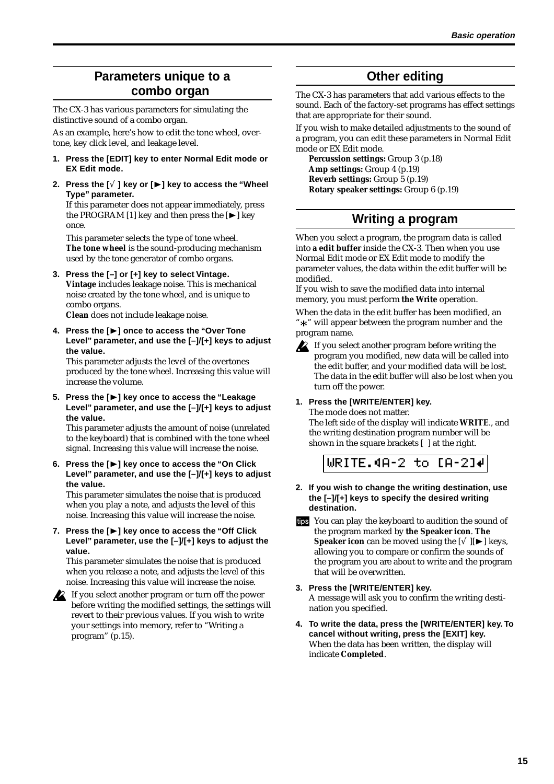# <span id="page-18-0"></span>**Parameters unique to a combo organ**

The CX-3 has various parameters for simulating the distinctive sound of a combo organ.

As an example, here's how to edit the tone wheel, overtone, key click level, and leakage level.

- **1. Press the [EDIT] key to enter Normal Edit mode or EX Edit mode.**
- **2. Press the [**√ **] key or [**®**] key to access the "Wheel Type" parameter.**

If this parameter does not appear immediately, press the PROGRAM [1] key and then press the  $[\blacktriangleright]$  key once.

This parameter selects the type of tone wheel. **The tone wheel** is the sound-producing mechanism used by the tone generator of combo organs.

**3. Press the [–] or [+] key to select Vintage. Vintage** includes leakage noise. This is mechanical noise created by the tone wheel, and is unique to combo organs.

**Clean** does not include leakage noise.

**4. Press the [**®**] once to access the "Over Tone Level" parameter, and use the [–]/[+] keys to adjust the value.**

This parameter adjusts the level of the overtones produced by the tone wheel. Increasing this value will increase the volume.

**5. Press the [**®**] key once to access the "Leakage Level" parameter, and use the [–]/[+] keys to adjust the value.**

This parameter adjusts the amount of noise (unrelated to the keyboard) that is combined with the tone wheel signal. Increasing this value will increase the noise.

#### **6. Press the [**®**] key once to access the "On Click Level" parameter, and use the [–]/[+] keys to adjust the value.**

This parameter simulates the noise that is produced when you play a note, and adjusts the level of this noise. Increasing this value will increase the noise.

#### **7. Press the [**®**] key once to access the "Off Click Level" parameter, use the [–]/[+] keys to adjust the value.**

This parameter simulates the noise that is produced when you release a note, and adjusts the level of this noise. Increasing this value will increase the noise.

If you select another program or turn off the power before writing the modified settings, the settings will revert to their previous values. If you wish to write your settings into memory, refer to "Writing a program" (p.15).

# **Other editing**

The CX-3 has parameters that add various effects to the sound. Each of the factory-set programs has effect settings that are appropriate for their sound.

If you wish to make detailed adjustments to the sound of a program, you can edit these parameters in Normal Edit mode or EX Edit mode.

**Percussion settings:** Group 3 (p.18) **Amp settings:** Group 4 (p.19) **Reverb settings:** Group 5 (p.19) **Rotary speaker settings:** Group 6 (p.19)

# **Writing a program**

When you select a program, the program data is called into **a edit buffer** inside the CX-3. Then when you use Normal Edit mode or EX Edit mode to modify the parameter values, the data within the edit buffer will be modified.

If you wish to save the modified data into internal memory, you must perform **the Write** operation.

When the data in the edit buffer has been modified, an " $\ddot{*}$ " will appear between the program number and the program name.



If you select another program before writing the program you modified, new data will be called into the edit buffer, and your modified data will be lost. The data in the edit buffer will also be lost when you turn off the power.

#### **1. Press the [WRITE/ENTER] key.**

The mode does not matter. The left side of the display will indicate **WRITE**., and the writing destination program number will be shown in the square brackets [ ] at the right.

# URITE.4A-2 to [A-2]#

- **2. If you wish to change the writing destination, use the [–]/[+] keys to specify the desired writing destination.**
- tips You can play the keyboard to audition the sound of the program marked by **the Speaker icon**. **The Speaker icon** can be moved using the  $\lceil \sqrt{\cdot} \rceil \rceil$  keys, allowing you to compare or confirm the sounds of the program you are about to write and the program that will be overwritten.
- **3. Press the [WRITE/ENTER] key.** A message will ask you to confirm the writing destination you specified.
- **4. To write the data, press the [WRITE/ENTER] key. To cancel without writing, press the [EXIT] key.** When the data has been written, the display will indicate **Completed**.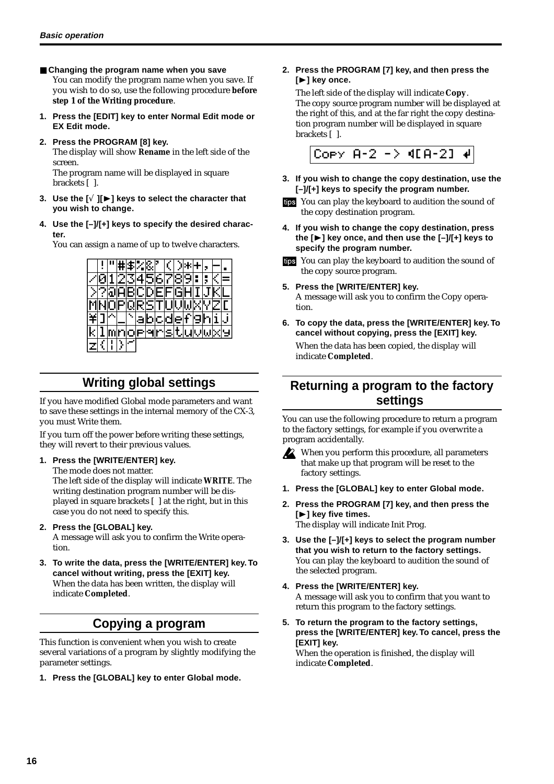- <span id="page-19-0"></span>■ Changing the program name when you save You can modify the program name when you save. If you wish to do so, use the following procedure **before step 1 of the Writing procedure**.
- **1. Press the [EDIT] key to enter Normal Edit mode or EX Edit mode.**
- **2. Press the PROGRAM [8] key.** The display will show **Rename** in the left side of the screen.

The program name will be displayed in square brackets [ ].

- **3. Use the [**√ **][**®**] keys to select the character that you wish to change.**
- **4. Use the [–]/[+] keys to specify the desired character.**

You can assign a name of up to twelve characters.



# **Writing global settings**

If you have modified Global mode parameters and want to save these settings in the internal memory of the CX-3, you must Write them.

If you turn off the power before writing these settings, they will revert to their previous values.

#### **1. Press the [WRITE/ENTER] key.**

The mode does not matter.

The left side of the display will indicate **WRITE**. The writing destination program number will be displayed in square brackets [ ] at the right, but in this case you do not need to specify this.

#### **2. Press the [GLOBAL] key.**

A message will ask you to confirm the Write operation.

**3. To write the data, press the [WRITE/ENTER] key. To cancel without writing, press the [EXIT] key.** When the data has been written, the display will indicate **Completed**.

# **Copying a program**

This function is convenient when you wish to create several variations of a program by slightly modifying the parameter settings.

**1. Press the [GLOBAL] key to enter Global mode.**

#### **2. Press the PROGRAM [7] key, and then press the [**®**] key once.**

The left side of the display will indicate **Copy**. The copy source program number will be displayed at the right of this, and at the far right the copy destination program number will be displayed in square brackets [ ].



- **3. If you wish to change the copy destination, use the [–]/[+] keys to specify the program number.**
- You can play the keyboard to audition the sound of the copy destination program.
- **4. If you wish to change the copy destination, press the [**®**] key once, and then use the [–]/[+] keys to specify the program number.**
- You can play the keyboard to audition the sound of the copy source program.
- **5. Press the [WRITE/ENTER] key.** A message will ask you to confirm the Copy operation.
- **6. To copy the data, press the [WRITE/ENTER] key. To cancel without copying, press the [EXIT] key.** When the data has been copied, the display will indicate **Completed**.

# **Returning a program to the factory settings**

You can use the following procedure to return a program to the factory settings, for example if you overwrite a program accidentally.

- When you perform this procedure, all parameters that make up that program will be reset to the factory settings.
- **1. Press the [GLOBAL] key to enter Global mode.**
- **2. Press the PROGRAM [7] key, and then press the [**®**] key five times.** The display will indicate Init Prog.
- **3. Use the [–]/[+] keys to select the program number that you wish to return to the factory settings.** You can play the keyboard to audition the sound of the selected program.
- **4. Press the [WRITE/ENTER] key.** A message will ask you to confirm that you want to return this program to the factory settings.
- **5. To return the program to the factory settings, press the [WRITE/ENTER] key. To cancel, press the [EXIT] key.**

When the operation is finished, the display will indicate **Completed**.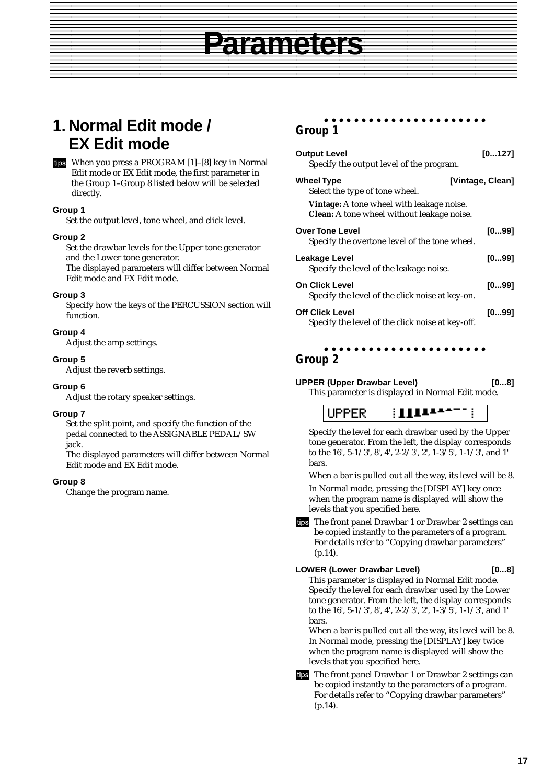# **1. Normal Edit mode / EX Edit mode**

When you press a PROGRAM [1]–[8] key in Normal Edit mode or EX Edit mode, the first parameter in the Group 1–Group 8 listed below will be selected directly.

#### **Group 1**

Set the output level, tone wheel, and click level.

#### **Group 2**

Set the drawbar levels for the Upper tone generator and the Lower tone generator.

The displayed parameters will differ between Normal Edit mode and EX Edit mode.

#### **Group 3**

Specify how the keys of the PERCUSSION section will function.

#### **Group 4**

Adjust the amp settings.

#### **Group 5**

Adjust the reverb settings.

#### **Group 6**

Adjust the rotary speaker settings.

#### **Group 7**

Set the split point, and specify the function of the pedal connected to the ASSIGNABLE PEDAL/SW jack.

The displayed parameters will differ between Normal Edit mode and EX Edit mode.

#### **Group 8**

Change the program name.

#### aaaaaaaaaaaaaaaaaaaaaa **Group 1**

| <b>Output Level</b><br>Specify the output level of the program.                                       | [0127]           |
|-------------------------------------------------------------------------------------------------------|------------------|
| <b>Wheel Type</b><br>Select the type of tone wheel.                                                   | [Vintage, Clean] |
| <b>Vintage:</b> A tone wheel with leakage noise.<br><b>Clean:</b> A tone wheel without leakage noise. |                  |
| <b>Over Tone Level</b><br>Specify the overtone level of the tone wheel.                               | [099]            |
| Leakage Level<br>Specify the level of the leakage noise.                                              | [099]            |
| <b>On Click Level</b><br>Specify the level of the click noise at key-on.                              | [099]            |
| <b>Off Click Level</b><br>Specify the level of the click noise at key-off.                            | [099]            |

## **Group 2**

<span id="page-20-0"></span>**Parameters** 

**UPPER (Upper Drawbar Level)** [0...8]

aaaaaaaaaaaaaaaaaaaaaa

This parameter is displayed in Normal Edit mode.

**UPPER** 

Specify the level for each drawbar used by the Upper tone generator. From the left, the display corresponds to the 16', 5-1/3', 8', 4', 2-2/3', 2', 1-3/5', 1-1/3', and 1' bars.

When a bar is pulled out all the way, its level will be 8. In Normal mode, pressing the [DISPLAY] key once when the program name is displayed will show the levels that you specified here.

tips The front panel Drawbar 1 or Drawbar 2 settings can be copied instantly to the parameters of a program. For details refer to "Copying drawbar parameters" (p.14).

#### LOWER (Lower Drawbar Level) [0...8]

**Parameters**

This parameter is displayed in Normal Edit mode. Specify the level for each drawbar used by the Lower tone generator. From the left, the display corresponds to the 16', 5-1/3', 8', 4', 2-2/3', 2', 1-3/5', 1-1/3', and 1' bars.

When a bar is pulled out all the way, its level will be 8. In Normal mode, pressing the [DISPLAY] key twice when the program name is displayed will show the levels that you specified here.

tips The front panel Drawbar 1 or Drawbar 2 settings can be copied instantly to the parameters of a program. For details refer to "Copying drawbar parameters" (p.14).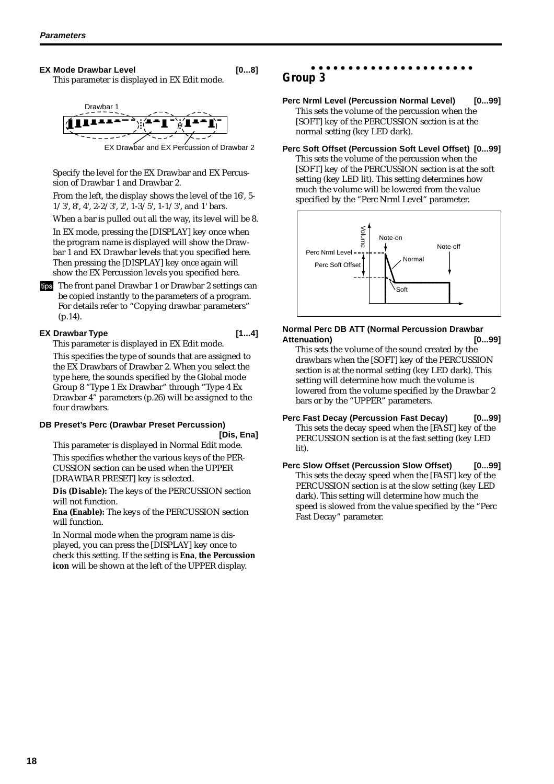#### **EX Mode Drawbar Level [0...8]**

This parameter is displayed in EX Edit mode.



Specify the level for the EX Drawbar and EX Percussion of Drawbar 1 and Drawbar 2.

From the left, the display shows the level of the 16', 5- 1/3', 8', 4', 2-2/3', 2', 1-3/5', 1-1/3', and 1' bars.

When a bar is pulled out all the way, its level will be 8.

In EX mode, pressing the [DISPLAY] key once when the program name is displayed will show the Drawbar 1 and EX Drawbar levels that you specified here. Then pressing the [DISPLAY] key once again will show the EX Percussion levels you specified here.

tips The front panel Drawbar 1 or Drawbar 2 settings can be copied instantly to the parameters of a program. For details refer to "Copying drawbar parameters" (p.14).

#### **EX Drawbar Type [1...4]**

This parameter is displayed in EX Edit mode.

This specifies the type of sounds that are assigned to the EX Drawbars of Drawbar 2. When you select the type here, the sounds specified by the Global mode Group 8 "Type 1 Ex Drawbar" through "Type 4 Ex Drawbar 4" parameters (p.26) will be assigned to the four drawbars.

#### **DB Preset's Perc (Drawbar Preset Percussion)**

**[Dis, Ena]**

This parameter is displayed in Normal Edit mode. This specifies whether the various keys of the PER-CUSSION section can be used when the UPPER [DRAWBAR PRESET] key is selected.

**Dis (Disable):** The keys of the PERCUSSION section will not function.

**Ena (Enable):** The keys of the PERCUSSION section will function.

In Normal mode when the program name is displayed, you can press the [DISPLAY] key once to check this setting. If the setting is **Ena**, **the Percussion icon** will be shown at the left of the UPPER display.

#### aaaaaaaaaaaaaaaaaaaaaa **Group 3**

Perc Nrml Level (Percussion Normal Level) [0...99] This sets the volume of the percussion when the [SOFT] key of the PERCUSSION section is at the normal setting (key LED dark).

**Perc Soft Offset (Percussion Soft Level Offset) [0...99]**

This sets the volume of the percussion when the [SOFT] key of the PERCUSSION section is at the soft setting (key LED lit). This setting determines how much the volume will be lowered from the value specified by the "Perc Nrml Level" parameter.



#### **Normal Perc DB ATT (Normal Percussion Drawbar Attenuation) [0...99]**

- This sets the volume of the sound created by the drawbars when the [SOFT] key of the PERCUSSION section is at the normal setting (key LED dark). This setting will determine how much the volume is lowered from the volume specified by the Drawbar 2 bars or by the "UPPER" parameters.
- **Perc Fast Decay (Percussion Fast Decay) [0...99]** This sets the decay speed when the [FAST] key of the PERCUSSION section is at the fast setting (key LED lit).
- **Perc Slow Offset (Percussion Slow Offset) [0...99]** This sets the decay speed when the [FAST] key of the PERCUSSION section is at the slow setting (key LED dark). This setting will determine how much the speed is slowed from the value specified by the "Perc Fast Decay" parameter.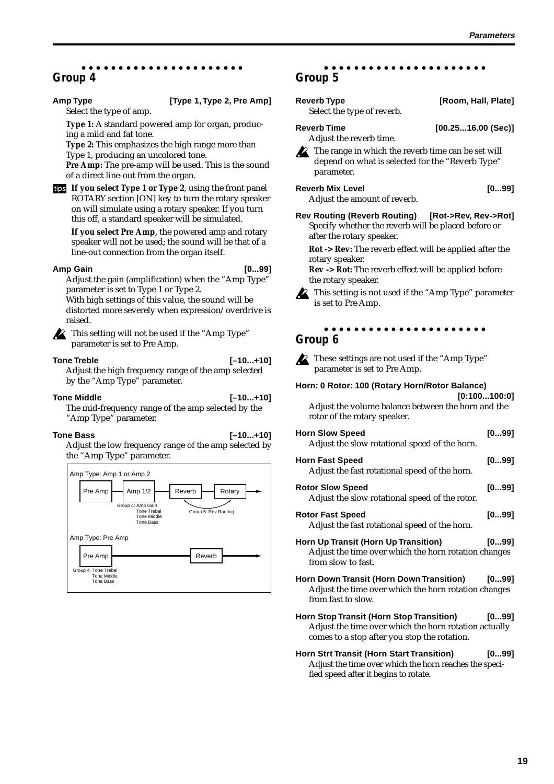#### aaaaaaaaaaaaaaaaaaaaaa **Group 4**

#### Amp Type **1, Type 2, Pre Amp**]

Select the type of amp.

**Type 1:** A standard powered amp for organ, producing a mild and fat tone.

**Type 2:** This emphasizes the high range more than Type 1, producing an uncolored tone.

**Pre Amp:** The pre-amp will be used. This is the sound of a direct line-out from the organ.

**If you select Type 1 or Type 2**, using the front panel ROTARY section [ON] key to turn the rotary speaker on will simulate using a rotary speaker. If you turn this off, a standard speaker will be simulated.

**If you select Pre Amp**, the powered amp and rotary speaker will not be used; the sound will be that of a line-out connection from the organ itself.

#### **Amp Gain [0...99]**

Adjust the gain (amplification) when the "Amp Type" parameter is set to Type 1 or Type 2. With high settings of this value, the sound will be

distorted more severely when expression/overdrive is raised.

This setting will not be used if the "Amp Type" parameter is set to Pre Amp.

**Tone Treble [–10...+10]** Adjust the high frequency range of the amp selected by the "Amp Type" parameter.

**Tone Middle [–10...+10]** The mid-frequency range of the amp selected by the "Amp Type" parameter.

#### **Tone Bass [–10...+10]**

Adjust the low frequency range of the amp selected by the "Amp Type" parameter.



#### aaaaaaaaaaaaaaaaaaaaaa **Group 5**

| <b>Reverb Type</b><br>Select the type of reverb.                                                                     | [Room, Hall, Plate] |
|----------------------------------------------------------------------------------------------------------------------|---------------------|
| <b>Reverb Time</b><br>Adjust the reverb time.                                                                        | [00.2516.00 (Sec)]  |
| The range in which the reverb time can be set will<br>depend on what is selected for the "Reverb Type"<br>parameter. |                     |

Reverb Mix Level **Contract Contract Contract Contract Contract Contract Contract Contract Contract Contract Contract Contract Contract Contract Contract Contract Contract Contract Contract Contract Contract Contract Contra** 

Adjust the amount of reverb.

**Rev Routing (Reverb Routing) [Rot->Rev, Rev->Rot]** Specify whether the reverb will be placed before or after the rotary speaker.

**Rot -> Rev:** The reverb effect will be applied after the rotary speaker.

**Rev -> Rot:** The reverb effect will be applied before the rotary speaker.

This setting is not used if the "Amp Type" parameter is set to Pre Amp.

#### aaaaaaaaaaaaaaaaaaaaaa **Group 6**

These settings are not used if the "Amp Type" parameter is set to Pre Amp.

#### **Horn: 0 Rotor: 100 (Rotary Horn/Rotor Balance)**

**[0:100...100:0]** Adjust the volume balance between the horn and the rotor of the rotary speaker.

| <b>Horn Slow Speed</b><br>Adjust the slow rotational speed of the horn.                                                | [099] |
|------------------------------------------------------------------------------------------------------------------------|-------|
| <b>Horn Fast Speed</b><br>Adjust the fast rotational speed of the horn.                                                | [099] |
| <b>Rotor Slow Speed</b><br>Adjust the slow rotational speed of the rotor.                                              | [099] |
| <b>Rotor Fast Speed</b><br>Adjust the fast rotational speed of the horn.                                               | [099] |
| Horn Up Transit (Horn Up Transition)<br>Adjust the time over which the horn rotation changes<br>from slow to fast.     | [099] |
| Horn Down Transit (Horn Down Transition)<br>Adjust the time over which the horn rotation changes<br>from fast to slow. | [099] |
| Horn Stop Transit (Horn Stop Transition)<br>Adjust the time over which the horn rotation actually                      | [099] |

**Horn Strt Transit (Horn Start Transition) [0...99]** Adjust the time over which the horn reaches the specified speed after it begins to rotate.

comes to a stop after you stop the rotation.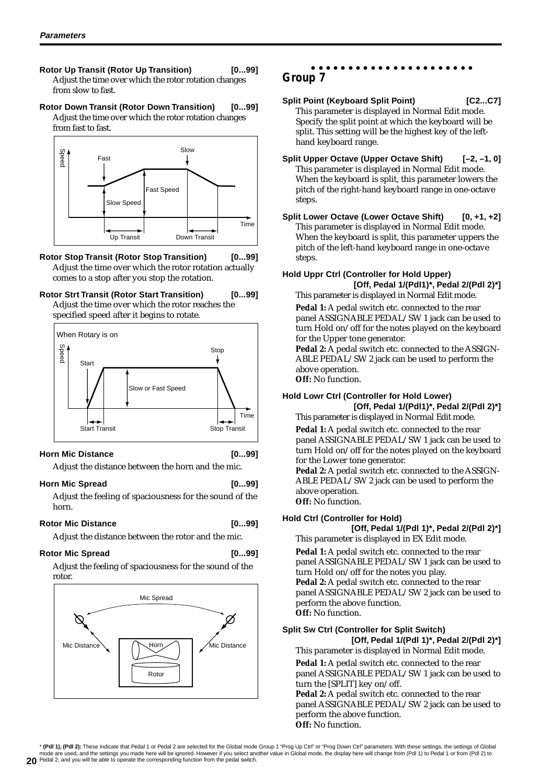- **Rotor Up Transit (Rotor Up Transition) [0...99]** Adjust the time over which the rotor rotation changes from slow to fast.
- **Rotor Down Transit (Rotor Down Transition) [0...99]** Adjust the time over which the rotor rotation changes from fast to fast.



- **Rotor Stop Transit (Rotor Stop Transition) [0...99]** Adjust the time over which the rotor rotation actually comes to a stop after you stop the rotation.
- **Rotor Strt Transit (Rotor Start Transition) [0...99]** Adjust the time over which the rotor reaches the specified speed after it begins to rotate.



#### **Horn Mic Distance [0...99]**

Adjust the distance between the horn and the mic.

#### **Horn Mic Spread [0...99]**

Adjust the feeling of spaciousness for the sound of the horn.

#### Rotor Mic Distance [0...99]

Adjust the distance between the rotor and the mic.

#### Rotor Mic Spread [0...99]

Adjust the feeling of spaciousness for the sound of the rotor.



#### aaaaaaaaaaaaaaaaaaaaaa **Group 7**

- **Split Point (Keyboard Split Point) [C2...C7]** This parameter is displayed in Normal Edit mode. Specify the split point at which the keyboard will be split. This setting will be the highest key of the lefthand keyboard range.
- **Split Upper Octave (Upper Octave Shift) [–2, –1, 0]** This parameter is displayed in Normal Edit mode. When the keyboard is split, this parameter lowers the pitch of the right-hand keyboard range in one-octave steps.
- **Split Lower Octave (Lower Octave Shift) [0, +1, +2]** This parameter is displayed in Normal Edit mode. When the keyboard is split, this parameter uppers the pitch of the left-hand keyboard range in one-octave steps.

#### **Hold Uppr Ctrl (Controller for Hold Upper) [Off, Pedal 1/(Pdl1)\*, Pedal 2/(Pdl 2)\*]**

This parameter is displayed in Normal Edit mode.

Pedal 1: A pedal switch etc. connected to the rear panel ASSIGNABLE PEDAL/SW 1 jack can be used to turn Hold on/off for the notes played on the keyboard for the Upper tone generator.

Pedal 2: A pedal switch etc. connected to the ASSIGN-ABLE PEDAL/SW 2 jack can be used to perform the above operation. **Off:** No function.

## **Hold Lowr Ctrl (Controller for Hold Lower)**

**[Off, Pedal 1/(Pdl1)\*, Pedal 2/(Pdl 2)\*]** This parameter is displayed in Normal Edit mode.

Pedal 1: A pedal switch etc. connected to the rear panel ASSIGNABLE PEDAL/SW 1 jack can be used to turn Hold on/off for the notes played on the keyboard for the Lower tone generator.

Pedal 2: A pedal switch etc. connected to the ASSIGN-ABLE PEDAL/SW 2 jack can be used to perform the above operation. **Off:** No function.

#### **Hold Ctrl (Controller for Hold)**

**[Off, Pedal 1/(Pdl 1)\*, Pedal 2/(Pdl 2)\*]**

This parameter is displayed in EX Edit mode.

**Pedal 1:** A pedal switch etc. connected to the rear panel ASSIGNABLE PEDAL/SW 1 jack can be used to turn Hold on/off for the notes you play. Pedal 2: A pedal switch etc. connected to the rear panel ASSIGNABLE PEDAL/SW 2 jack can be used to perform the above function. **Off:** No function.

#### **Split Sw Ctrl (Controller for Split Switch) [Off, Pedal 1/(Pdl 1)\*, Pedal 2/(Pdl 2)\*]**

This parameter is displayed in Normal Edit mode.

Pedal 1: A pedal switch etc. connected to the rear panel ASSIGNABLE PEDAL/SW 1 jack can be used to turn the [SPLIT] key on/off.

Pedal 2: A pedal switch etc. connected to the rear panel ASSIGNABLE PEDAL/SW 2 jack can be used to perform the above function. **Off:** No function.

**20** Pedal 2, and you will be able to operate the corresponding function from the pedal switch.\* **(Pdl 1), (Pdl 2):** These indicate that Pedal 1 or Pedal 2 are selected for the Global mode Group 1 "Prog Up Ctrl" or "Prog Down Ctrl" parameters. With these settings, the settings of Global mode are used, and the settings you made here will be ignored. However if you select another value in Global mode, the display here will change from (Pdl 1) to Pedal 1 or from (Pdl 2) to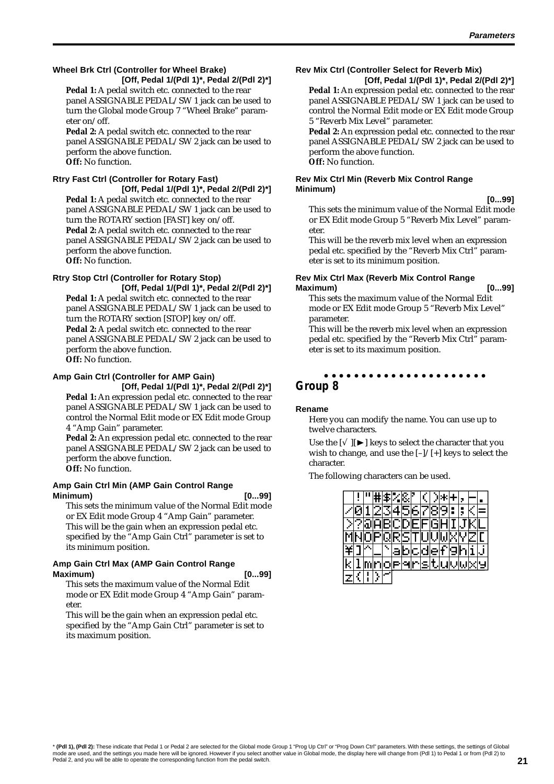#### **Wheel Brk Ctrl (Controller for Wheel Brake) [Off, Pedal 1/(Pdl 1)\*, Pedal 2/(Pdl 2)\*]**

Pedal 1: A pedal switch etc. connected to the rear panel ASSIGNABLE PEDAL/SW 1 jack can be used to turn the Global mode Group 7 "Wheel Brake" parameter on/off.

Pedal 2: A pedal switch etc. connected to the rear panel ASSIGNABLE PEDAL/SW 2 jack can be used to perform the above function. **Off:** No function.

#### **Rtry Fast Ctrl (Controller for Rotary Fast) [Off, Pedal 1/(Pdl 1)\*, Pedal 2/(Pdl 2)\*]**

**Pedal 1:** A pedal switch etc. connected to the rear panel ASSIGNABLE PEDAL/SW 1 jack can be used to turn the ROTARY section [FAST] key on/off. Pedal 2: A pedal switch etc. connected to the rear panel ASSIGNABLE PEDAL/SW 2 jack can be used to perform the above function. **Off:** No function.

#### **Rtry Stop Ctrl (Controller for Rotary Stop)**

**[Off, Pedal 1/(Pdl 1)\*, Pedal 2/(Pdl 2)\*] Pedal 1:** A pedal switch etc. connected to the rear panel ASSIGNABLE PEDAL/SW 1 jack can be used to turn the ROTARY section [STOP] key on/off. Pedal 2: A pedal switch etc. connected to the rear panel ASSIGNABLE PEDAL/SW 2 jack can be used to perform the above function. **Off:** No function.

#### **Amp Gain Ctrl (Controller for AMP Gain)**

**[Off, Pedal 1/(Pdl 1)\*, Pedal 2/(Pdl 2)\*]** Pedal 1: An expression pedal etc. connected to the rear panel ASSIGNABLE PEDAL/SW 1 jack can be used to control the Normal Edit mode or EX Edit mode Group 4 "Amp Gain" parameter.

**Pedal 2:** An expression pedal etc. connected to the rear panel ASSIGNABLE PEDAL/SW 2 jack can be used to perform the above function. **Off:** No function.

#### **Amp Gain Ctrl Min (AMP Gain Control Range Minimum) [0...99]**

This sets the minimum value of the Normal Edit mode or EX Edit mode Group 4 "Amp Gain" parameter. This will be the gain when an expression pedal etc. specified by the "Amp Gain Ctrl" parameter is set to its minimum position.

#### **Amp Gain Ctrl Max (AMP Gain Control Range Maximum) [0...99]**

This sets the maximum value of the Normal Edit mode or EX Edit mode Group 4 "Amp Gain" parameter.

This will be the gain when an expression pedal etc. specified by the "Amp Gain Ctrl" parameter is set to its maximum position.

# **Rev Mix Ctrl (Controller Select for Reverb Mix)**

**[Off, Pedal 1/(Pdl 1)\*, Pedal 2/(Pdl 2)\*]** Pedal 1: An expression pedal etc. connected to the rear panel ASSIGNABLE PEDAL/SW 1 jack can be used to control the Normal Edit mode or EX Edit mode Group 5 "Reverb Mix Level" parameter.

Pedal 2: An expression pedal etc. connected to the rear panel ASSIGNABLE PEDAL/SW 2 jack can be used to perform the above function. **Off:** No function.

#### **Rev Mix Ctrl Min (Reverb Mix Control Range Minimum)**

**[0...99]**

This sets the minimum value of the Normal Edit mode or EX Edit mode Group 5 "Reverb Mix Level" parameter.

This will be the reverb mix level when an expression pedal etc. specified by the "Reverb Mix Ctrl" parameter is set to its minimum position.

#### **Rev Mix Ctrl Max (Reverb Mix Control Range Maximum) [0...99]**

This sets the maximum value of the Normal Edit mode or EX Edit mode Group 5 "Reverb Mix Level" parameter.

This will be the reverb mix level when an expression pedal etc. specified by the "Reverb Mix Ctrl" parameter is set to its maximum position.

#### aaaaaaaaaaaaaaaaaaaaaa **Group 8**

#### **Rename**

Here you can modify the name. You can use up to twelve characters.

Use the  $[\sqrt{]} \mathbf{E}]$  keys to select the character that you wish to change, and use the [–]/[+] keys to select the character.

The following characters can be used.

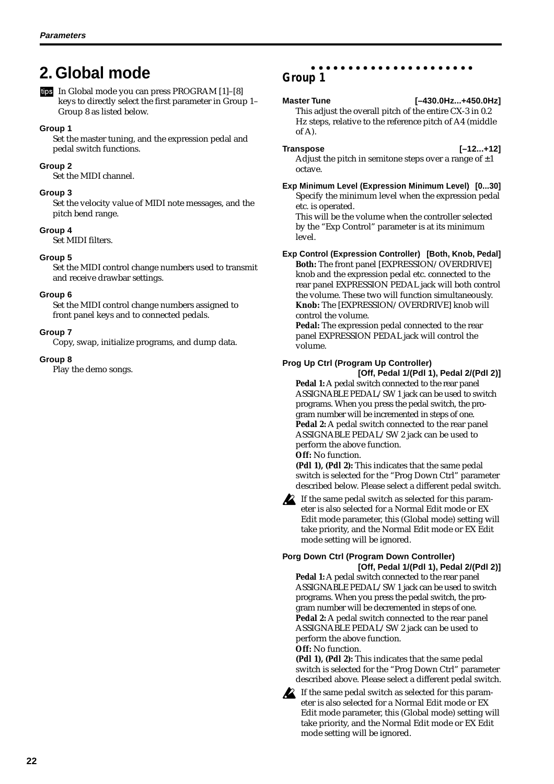# <span id="page-25-0"></span>**2. Global mode**

In Global mode you can press PROGRAM [1]–[8] keys to directly select the first parameter in Group 1– Group 8 as listed below.

#### **Group 1**

Set the master tuning, and the expression pedal and pedal switch functions.

#### **Group 2**

Set the MIDI channel.

#### **Group 3**

Set the velocity value of MIDI note messages, and the pitch bend range.

#### **Group 4**

Set MIDI filters.

#### **Group 5**

Set the MIDI control change numbers used to transmit and receive drawbar settings.

#### **Group 6**

Set the MIDI control change numbers assigned to front panel keys and to connected pedals.

#### **Group 7**

Copy, swap, initialize programs, and dump data.

#### **Group 8**

Play the demo songs.

#### aaaaaaaaaaaaaaaaaaaaaa **Group 1**

**Master Tune [–430.0Hz...+450.0Hz]** This adjust the overall pitch of the entire CX-3 in 0.2 Hz steps, relative to the reference pitch of A4 (middle of A).

**Transpose [–12...+12]**

Adjust the pitch in semitone steps over a range of  $\pm 1$ octave. **Exp Minimum Level (Expression Minimum Level) [0...30]**

Specify the minimum level when the expression pedal etc. is operated.

This will be the volume when the controller selected by the "Exp Control" parameter is at its minimum level.

#### **Exp Control (Expression Controller) [Both, Knob, Pedal]**

**Both:** The front panel [EXPRESSION/OVERDRIVE] knob and the expression pedal etc. connected to the rear panel EXPRESSION PEDAL jack will both control the volume. These two will function simultaneously. **Knob:** The [EXPRESSION/OVERDRIVE] knob will control the volume.

**Pedal:** The expression pedal connected to the rear panel EXPRESSION PEDAL jack will control the volume.

#### **Prog Up Ctrl (Program Up Controller)**

**[Off, Pedal 1/(Pdl 1), Pedal 2/(Pdl 2)] Pedal 1:** A pedal switch connected to the rear panel ASSIGNABLE PEDAL/SW 1 jack can be used to switch programs. When you press the pedal switch, the program number will be incremented in steps of one. **Pedal 2:** A pedal switch connected to the rear panel ASSIGNABLE PEDAL/SW 2 jack can be used to perform the above function.

#### **Off:** No function.

**(Pdl 1), (Pdl 2):** This indicates that the same pedal switch is selected for the "Prog Down Ctrl" parameter described below. Please select a different pedal switch.

If the same pedal switch as selected for this parameter is also selected for a Normal Edit mode or EX Edit mode parameter, this (Global mode) setting will take priority, and the Normal Edit mode or EX Edit mode setting will be ignored.

#### **Porg Down Ctrl (Program Down Controller) [Off, Pedal 1/(Pdl 1), Pedal 2/(Pdl 2)]**

**Pedal 1:** A pedal switch connected to the rear panel ASSIGNABLE PEDAL/SW 1 jack can be used to switch programs. When you press the pedal switch, the program number will be decremented in steps of one. **Pedal 2:** A pedal switch connected to the rear panel ASSIGNABLE PEDAL/SW 2 jack can be used to perform the above function. **Off:** No function.

**(Pdl 1), (Pdl 2):** This indicates that the same pedal switch is selected for the "Prog Down Ctrl" parameter described above. Please select a different pedal switch.

If the same pedal switch as selected for this parameter is also selected for a Normal Edit mode or EX Edit mode parameter, this (Global mode) setting will take priority, and the Normal Edit mode or EX Edit mode setting will be ignored.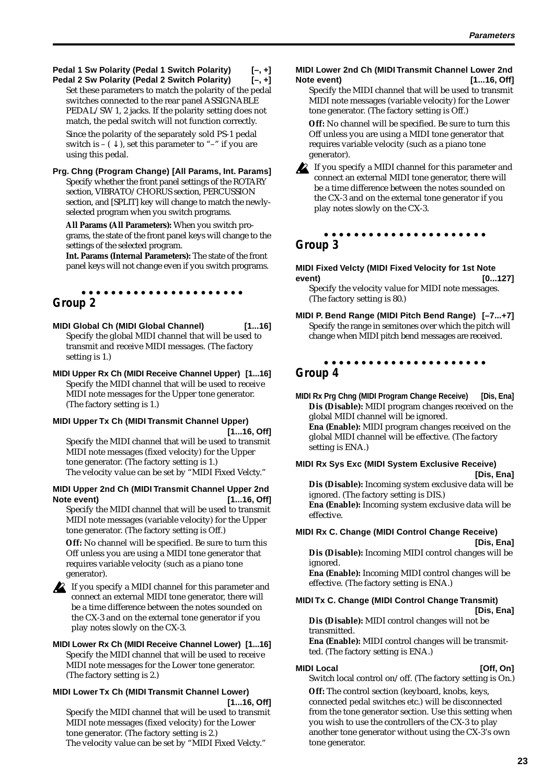**Pedal 1 Sw Polarity (Pedal 1 Switch Polarity) [–, +] Pedal 2 Sw Polarity (Pedal 2 Switch Polarity) [–, +]**

Set these parameters to match the polarity of the pedal switches connected to the rear panel ASSIGNABLE PEDAL/SW 1, 2 jacks. If the polarity setting does not match, the pedal switch will not function correctly. Since the polarity of the separately sold PS-1 pedal switch is –  $(\downarrow)$ , set this parameter to "–" if you are using this pedal.

**Prg. Chng (Program Change) [All Params, Int. Params]** Specify whether the front panel settings of the ROTARY section, VIBRATO/CHORUS section, PERCUSSION section, and [SPLIT] key will change to match the newlyselected program when you switch programs.

**All Params (All Parameters):** When you switch programs, the state of the front panel keys will change to the settings of the selected program.

**Int. Params (Internal Parameters):** The state of the front panel keys will not change even if you switch programs.

#### aaaaaaaaaaaaaaaaaaaaaa **Group 2**

**MIDI Global Ch (MIDI Global Channel) [1...16]** Specify the global MIDI channel that will be used to transmit and receive MIDI messages. (The factory setting is 1.)

**MIDI Upper Rx Ch (MIDI Receive Channel Upper) [1...16]** Specify the MIDI channel that will be used to receive MIDI note messages for the Upper tone generator. (The factory setting is 1.)

#### **MIDI Upper Tx Ch (MIDI Transmit Channel Upper) [1...16, Off]**

Specify the MIDI channel that will be used to transmit MIDI note messages (fixed velocity) for the Upper tone generator. (The factory setting is 1.) The velocity value can be set by "MIDI Fixed Velcty."

#### **MIDI Upper 2nd Ch (MIDI Transmit Channel Upper 2nd Note event) [1...16, Off]**

Specify the MIDI channel that will be used to transmit MIDI note messages (variable velocity) for the Upper tone generator. (The factory setting is Off.)

**Off:** No channel will be specified. Be sure to turn this Off unless you are using a MIDI tone generator that requires variable velocity (such as a piano tone generator).



#### If you specify a MIDI channel for this parameter and connect an external MIDI tone generator, there will be a time difference between the notes sounded on the CX-3 and on the external tone generator if you play notes slowly on the CX-3.

#### **MIDI Lower Rx Ch (MIDI Receive Channel Lower) [1...16]** Specify the MIDI channel that will be used to receive MIDI note messages for the Lower tone generator. (The factory setting is 2.)

#### **MIDI Lower Tx Ch (MIDI Transmit Channel Lower) [1...16, Off]**

Specify the MIDI channel that will be used to transmit MIDI note messages (fixed velocity) for the Lower tone generator. (The factory setting is 2.) The velocity value can be set by "MIDI Fixed Velcty."

#### **MIDI Lower 2nd Ch (MIDI Transmit Channel Lower 2nd Note event) [1...16, Off]**

Specify the MIDI channel that will be used to transmit MIDI note messages (variable velocity) for the Lower tone generator. (The factory setting is Off.)

**Off:** No channel will be specified. Be sure to turn this Off unless you are using a MIDI tone generator that requires variable velocity (such as a piano tone generator).

If you specify a MIDI channel for this parameter and connect an external MIDI tone generator, there will be a time difference between the notes sounded on the CX-3 and on the external tone generator if you play notes slowly on the CX-3.

#### aaaaaaaaaaaaaaaaaaaaaa **Group 3**

#### **MIDI Fixed Velcty (MIDI Fixed Velocity for 1st Note event) [0...127]**

Specify the velocity value for MIDI note messages. (The factory setting is 80.)

**MIDI P. Bend Range (MIDI Pitch Bend Range) [–7...+7]** Specify the range in semitones over which the pitch will change when MIDI pitch bend messages are received.

#### aaaaaaaaaaaaaaaaaaaaaa **Group 4**

**MIDI Rx Prg Chng (MIDI Program Change Receive) [Dis, Ena] Dis (Disable):** MIDI program changes received on the global MIDI channel will be ignored. **Ena (Enable):** MIDI program changes received on the global MIDI channel will be effective. (The factory setting is ENA.)

#### **MIDI Rx Sys Exc (MIDI System Exclusive Receive) [Dis, Ena] Dis (Disable):** Incoming system exclusive data will be

ignored. (The factory setting is DIS.) **Ena (Enable):** Incoming system exclusive data will be effective.

#### **MIDI Rx C. Change (MIDI Control Change Receive) [Dis, Ena]**

**Dis (Disable):** Incoming MIDI control changes will be ignored.

**Ena (Enable):** Incoming MIDI control changes will be effective. (The factory setting is ENA.)

#### **MIDI Tx C. Change (MIDI Control Change Transmit) [Dis, Ena]**

**Dis (Disable):** MIDI control changes will not be transmitted.

**Ena (Enable):** MIDI control changes will be transmitted. (The factory setting is ENA.)

#### **MIDI Local** [Off, On]

Switch local control on/off. (The factory setting is On.)

**Off:** The control section (keyboard, knobs, keys, connected pedal switches etc.) will be disconnected from the tone generator section. Use this setting when you wish to use the controllers of the CX-3 to play another tone generator without using the CX-3's own tone generator.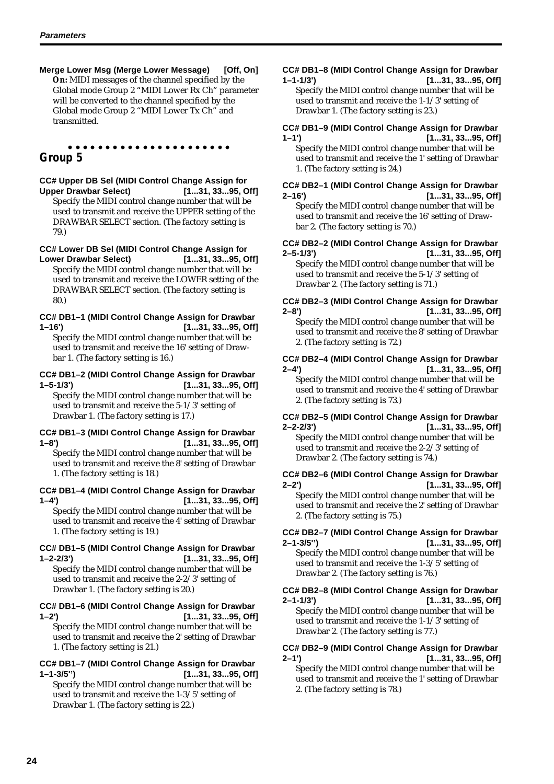**Merge Lower Msg (Merge Lower Message) [Off, On] On:** MIDI messages of the channel specified by the Global mode Group 2 "MIDI Lower Rx Ch" parameter will be converted to the channel specified by the Global mode Group 2 "MIDI Lower Tx Ch" and transmitted.

#### aaaaaaaaaaaaaaaaaaaaaa **Group 5**

# **CC# Upper DB Sel (MIDI Control Change Assign for**

**Upper Drawbar Select) [1...31, 33...95, Off]** Specify the MIDI control change number that will be used to transmit and receive the UPPER setting of the DRAWBAR SELECT section. (The factory setting is 79.)

**CC# Lower DB Sel (MIDI Control Change Assign for**

**Lower Drawbar Select) [1...31, 33...95, Off]** Specify the MIDI control change number that will be used to transmit and receive the LOWER setting of the DRAWBAR SELECT section. (The factory setting is 80.)

#### **CC# DB1–1 (MIDI Control Change Assign for Drawbar 1–16') [1...31, 33...95, Off]**

Specify the MIDI control change number that will be used to transmit and receive the 16' setting of Drawbar 1. (The factory setting is 16.)

# **CC# DB1–2 (MIDI Control Change Assign for Drawbar**

**1–5-1/3') [1...31, 33...95, Off]** Specify the MIDI control change number that will be used to transmit and receive the 5-1/3' setting of Drawbar 1. (The factory setting is 17.)

#### **CC# DB1–3 (MIDI Control Change Assign for Drawbar 1–8') [1...31, 33...95, Off]**

Specify the MIDI control change number that will be used to transmit and receive the 8' setting of Drawbar 1. (The factory setting is 18.)

#### **CC# DB1–4 (MIDI Control Change Assign for Drawbar 1–4') [1...31, 33...95, Off]** Specify the MIDI control change number that will be

used to transmit and receive the 4' setting of Drawbar 1. (The factory setting is 19.)

#### **CC# DB1–5 (MIDI Control Change Assign for Drawbar 1–2-2/3') [1...31, 33...95, Off]**

Specify the MIDI control change number that will be used to transmit and receive the 2-2/3' setting of Drawbar 1. (The factory setting is 20.)

#### **CC# DB1–6 (MIDI Control Change Assign for Drawbar 1–2') [1...31, 33...95, Off]**

Specify the MIDI control change number that will be used to transmit and receive the 2' setting of Drawbar 1. (The factory setting is 21.)

#### **CC# DB1–7 (MIDI Control Change Assign for Drawbar 1–1-3/5'') [1...31, 33...95, Off]**

Specify the MIDI control change number that will be used to transmit and receive the 1-3/5' setting of Drawbar 1. (The factory setting is 22.)

#### **CC# DB1–8 (MIDI Control Change Assign for Drawbar 1–1-1/3') [1...31, 33...95, Off]**

Specify the MIDI control change number that will be used to transmit and receive the 1-1/3' setting of Drawbar 1. (The factory setting is 23.)

#### **CC# DB1–9 (MIDI Control Change Assign for Drawbar 1–1') [1...31, 33...95, Off]** Specify the MIDI control change number that will be

used to transmit and receive the 1' setting of Drawbar 1. (The factory setting is 24.)

#### **CC# DB2–1 (MIDI Control Change Assign for Drawbar 2–16') [1...31, 33...95, Off]** Specify the MIDI control change number that will be

used to transmit and receive the 16' setting of Drawbar 2. (The factory setting is 70.)

#### **CC# DB2–2 (MIDI Control Change Assign for Drawbar 2–5-1/3') [1...31, 33...95, Off]**

Specify the MIDI control change number that will be used to transmit and receive the 5-1/3' setting of Drawbar 2. (The factory setting is 71.)

## **CC# DB2–3 (MIDI Control Change Assign for Drawbar 2–8') [1...31, 33...95, Off]**

Specify the MIDI control change number that will be used to transmit and receive the 8' setting of Drawbar 2. (The factory setting is 72.)

#### **CC# DB2–4 (MIDI Control Change Assign for Drawbar 2–4') [1...31, 33...95, Off]**

Specify the MIDI control change number that will be used to transmit and receive the 4' setting of Drawbar 2. (The factory setting is 73.)

#### **CC# DB2–5 (MIDI Control Change Assign for Drawbar 2–2-2/3') [1...31, 33...95, Off]**

Specify the MIDI control change number that will be used to transmit and receive the 2-2/3' setting of Drawbar 2. (The factory setting is 74.)

#### **CC# DB2–6 (MIDI Control Change Assign for Drawbar 2–2') [1...31, 33...95, Off]** Specify the MIDI control change number that will be

used to transmit and receive the 2' setting of Drawbar 2. (The factory setting is 75.)

#### **CC# DB2–7 (MIDI Control Change Assign for Drawbar 2–1-3/5'') [1...31, 33...95, Off]**

Specify the MIDI control change number that will be used to transmit and receive the 1-3/5' setting of Drawbar 2. (The factory setting is 76.)

### **CC# DB2–8 (MIDI Control Change Assign for Drawbar 2–1-1/3') [1...31, 33...95, Off]** Specify the MIDI control change number that will be

used to transmit and receive the 1-1/3' setting of Drawbar 2. (The factory setting is 77.)

#### **CC# DB2–9 (MIDI Control Change Assign for Drawbar 2–1') [1...31, 33...95, Off]**

Specify the MIDI control change number that will be used to transmit and receive the 1' setting of Drawbar 2. (The factory setting is 78.)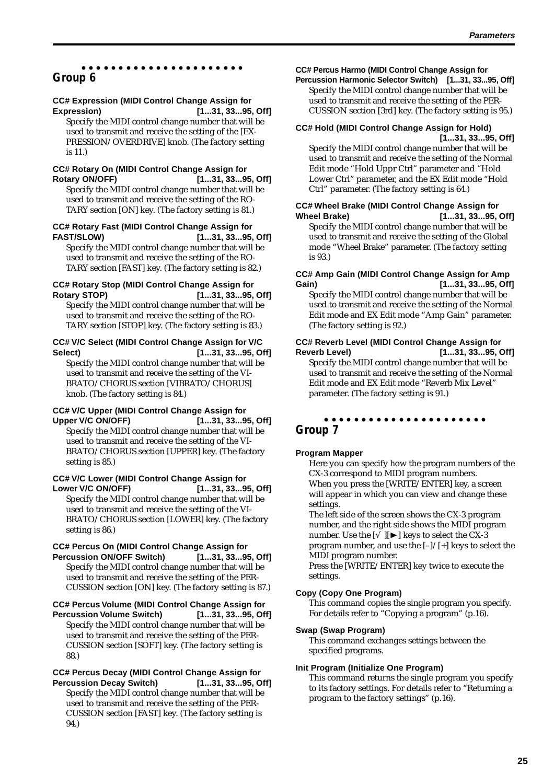#### aaaaaaaaaaaaaaaaaaaaaa **Group 6**

#### **CC# Expression (MIDI Control Change Assign for**

**Expression) [1...31, 33...95, Off]** Specify the MIDI control change number that will be used to transmit and receive the setting of the [EX-PRESSION/OVERDRIVE] knob. (The factory setting is 11.)

#### **CC# Rotary On (MIDI Control Change Assign for Rotary ON/OFF) [1...31, 33...95, Off]**

Specify the MIDI control change number that will be used to transmit and receive the setting of the RO-TARY section [ON] key. (The factory setting is 81.)

# **CC# Rotary Fast (MIDI Control Change Assign for FAST/SLOW) [1...31, 33...95, Off]**

Specify the MIDI control change number that will be used to transmit and receive the setting of the RO-TARY section [FAST] key. (The factory setting is 82.)

#### **CC# Rotary Stop (MIDI Control Change Assign for Rotary STOP) [1...31, 33...95, Off]**

Specify the MIDI control change number that will be used to transmit and receive the setting of the RO-TARY section [STOP] key. (The factory setting is 83.)

#### **CC# V/C Select (MIDI Control Change Assign for V/C Select) [1...31, 33...95, Off]**

Specify the MIDI control change number that will be used to transmit and receive the setting of the VI-BRATO/CHORUS section [VIBRATO/CHORUS] knob. (The factory setting is 84.)

#### **CC# V/C Upper (MIDI Control Change Assign for**

**Upper V/C ON/OFF) [1...31, 33...95, Off]** Specify the MIDI control change number that will be used to transmit and receive the setting of the VI-BRATO/CHORUS section [UPPER] key. (The factory setting is 85.)

#### **CC# V/C Lower (MIDI Control Change Assign for Lower V/C ON/OFF) [1...31, 33...95, Off]**

Specify the MIDI control change number that will be used to transmit and receive the setting of the VI-BRATO/CHORUS section [LOWER] key. (The factory setting is 86.)

#### **CC# Percus On (MIDI Control Change Assign for**

**Percussion ON/OFF Switch) [1...31, 33...95, Off]** Specify the MIDI control change number that will be used to transmit and receive the setting of the PER-CUSSION section [ON] key. (The factory setting is 87.)

#### **CC# Percus Volume (MIDI Control Change Assign for**

**Percussion Volume Switch) [1...31, 33...95, Off]** Specify the MIDI control change number that will be used to transmit and receive the setting of the PER-CUSSION section [SOFT] key. (The factory setting is 88.)

#### **CC# Percus Decay (MIDI Control Change Assign for Percussion Decay Switch) [1...31, 33...95, Off]**

Specify the MIDI control change number that will be used to transmit and receive the setting of the PER-CUSSION section [FAST] key. (The factory setting is 94.)

#### **CC# Percus Harmo (MIDI Control Change Assign for**

**Percussion Harmonic Selector Switch) [1...31, 33...95, Off]** Specify the MIDI control change number that will be used to transmit and receive the setting of the PER-CUSSION section [3rd] key. (The factory setting is 95.)

# **CC# Hold (MIDI Control Change Assign for Hold)**

**[1...31, 33...95, Off]** Specify the MIDI control change number that will be used to transmit and receive the setting of the Normal Edit mode "Hold Uppr Ctrl" parameter and "Hold Lower Ctrl" parameter, and the EX Edit mode "Hold Ctrl" parameter. (The factory setting is 64.)

#### **CC# Wheel Brake (MIDI Control Change Assign for Wheel Brake) [1...31, 33...95, Off]**

Specify the MIDI control change number that will be used to transmit and receive the setting of the Global mode "Wheel Brake" parameter. (The factory setting is 93.)

#### **CC# Amp Gain (MIDI Control Change Assign for Amp Gain) [1...31, 33...95, Off]**

Specify the MIDI control change number that will be used to transmit and receive the setting of the Normal Edit mode and EX Edit mode "Amp Gain" parameter. (The factory setting is 92.)

#### **CC# Reverb Level (MIDI Control Change Assign for Reverb Level) [1...31, 33...95, Off]**

Specify the MIDI control change number that will be used to transmit and receive the setting of the Normal Edit mode and EX Edit mode "Reverb Mix Level" parameter. (The factory setting is 91.)

#### aaaaaaaaaaaaaaaaaaaaaa **Group 7**

#### **Program Mapper**

Here you can specify how the program numbers of the CX-3 correspond to MIDI program numbers. When you press the [WRITE/ENTER] key, a screen will appear in which you can view and change these settings.

The left side of the screen shows the CX-3 program number, and the right side shows the MIDI program number. Use the  $[\sqrt{||\blacktriangleright||}$  keys to select the CX-3 program number, and use the [–]/[+] keys to select the MIDI program number.

Press the [WRITE/ENTER] key twice to execute the settings.

#### **Copy (Copy One Program)**

This command copies the single program you specify. For details refer to "Copying a program" (p.16).

#### **Swap (Swap Program)**

This command exchanges settings between the specified programs.

#### **Init Program (Initialize One Program)**

This command returns the single program you specify to its factory settings. For details refer to "Returning a program to the factory settings" (p.16).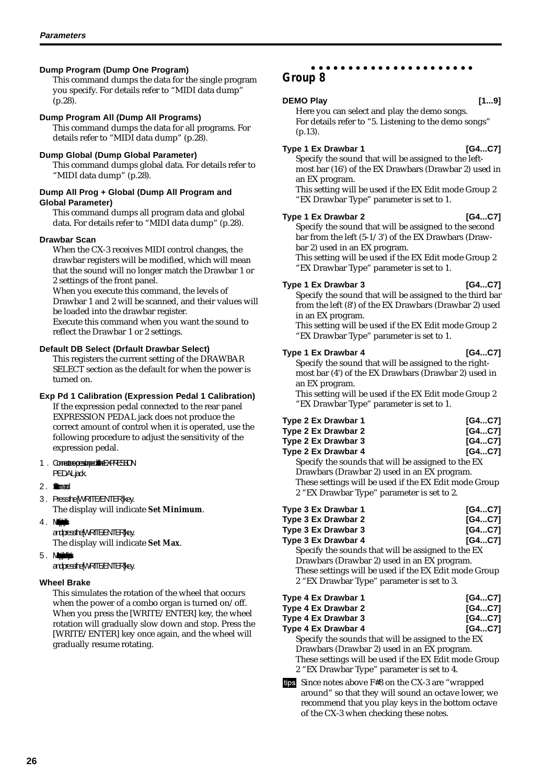#### **Dump Program (Dump One Program)**

This command dumps the data for the single program you specify. For details refer to "MIDI data dump" (p.28).

#### **Dump Program All (Dump All Programs)**

This command dumps the data for all programs. For details refer to "MIDI data dump" (p.28).

#### **Dump Global (Dump Global Parameter)**

This command dumps global data. For details refer to "MIDI data dump" (p.28).

#### **Dump All Prog + Global (Dump All Program and Global Parameter)**

This command dumps all program data and global data. For details refer to "MIDI data dump" (p.28).

#### **Drawbar Scan**

When the CX-3 receives MIDI control changes, the drawbar registers will be modified, which will mean that the sound will no longer match the Drawbar 1 or 2 settings of the front panel.

When you execute this command, the levels of

Drawbar 1 and 2 will be scanned, and their values will be loaded into the drawbar register.

Execute this command when you want the sound to reflect the Drawbar 1 or 2 settings.

#### **Default DB Select (Drfault Drawbar Select)**

This registers the current setting of the DRAWBAR SELECT section as the default for when the power is turned on.

#### **Exp Pd 1 Calibration (Expression Pedal 1 Calibration)**

If the expression pedal connected to the rear panel EXPRESSION PEDAL jack does not produce the correct amount of control when it is operated, use the following procedure to adjust the sensitivity of the expression pedal.

#### 1. Connecte resigned the EXPRESSION **PEDALiack.**

#### 2. Summand

3. Pressthe MRITE/ENTER] key.

The display will indicate **Set Minimum**. 4. Ma $\mathbf{M}$ 

### and press the [WRITE/ENTER] key.

The display will indicate **Set Max**.

5. Mohimbo

#### and press the [WRITE/ENTER] key.

#### **Wheel Brake**

This simulates the rotation of the wheel that occurs when the power of a combo organ is turned on/off. When you press the [WRITE/ENTER] key, the wheel rotation will gradually slow down and stop. Press the [WRITE/ENTER] key once again, and the wheel will gradually resume rotating.

#### aaaaaaaaaaaaaaaaaaaaaa **Group 8**

#### **DEMO Play 1...91**

Here you can select and play the demo songs. For details refer to "5. Listening to the demo songs" (p.13).

#### **Type 1 Ex Drawbar 1 [G4...C7]**

Specify the sound that will be assigned to the left-

most bar (16') of the EX Drawbars (Drawbar 2) used in an EX program. This setting will be used if the EX Edit mode Group 2

"EX Drawbar Type" parameter is set to 1.

#### **Type 1 Ex Drawbar 2 [G4...C7]**

Specify the sound that will be assigned to the second bar from the left (5-1/3') of the EX Drawbars (Drawbar 2) used in an EX program.

This setting will be used if the EX Edit mode Group 2 "EX Drawbar Type" parameter is set to 1.

#### **Type 1 Ex Drawbar 3 [G4...C7]**

Specify the sound that will be assigned to the third bar from the left (8') of the EX Drawbars (Drawbar 2) used in an EX program.

This setting will be used if the EX Edit mode Group 2 "EX Drawbar Type" parameter is set to 1.

#### **Type 1 Ex Drawbar 4 [G4...C7]**

Specify the sound that will be assigned to the rightmost bar (4') of the EX Drawbars (Drawbar 2) used in an EX program.

This setting will be used if the EX Edit mode Group 2 "EX Drawbar Type" parameter is set to 1.

| Type 2 Ex Drawbar 1                                   | [G4C7] |
|-------------------------------------------------------|--------|
| Type 2 Ex Drawbar 2                                   | [G4C7] |
| Type 2 Ex Drawbar 3                                   | [G4C7] |
| Type 2 Ex Drawbar 4                                   | [G4C7] |
| Specify the sounds that will be assigned to the EX    |        |
| Drawbars (Drawbar 2) used in an EX program.           |        |
| These settings will be used if the EX Edit mode Group |        |
| 2 "EX Drawbar Type" parameter is set to 2.            |        |

| Type 3 Ex Drawbar 1                                   | [G4C7] |
|-------------------------------------------------------|--------|
| Type 3 Ex Drawbar 2                                   | [G4C7] |
| Type 3 Ex Drawbar 3                                   | [G4C7] |
| Type 3 Ex Drawbar 4                                   | [G4C7] |
| Specify the sounds that will be assigned to the EX    |        |
| Drawbars (Drawbar 2) used in an EX program.           |        |
| These settings will be used if the EX Edit mode Group |        |
| 2 "EX Drawbar Type" parameter is set to 3.            |        |
|                                                       |        |

| Type 4 Ex Drawbar 1                                   | [G4C7] |
|-------------------------------------------------------|--------|
| Type 4 Ex Drawbar 2                                   | [G4C7] |
| Type 4 Ex Drawbar 3                                   | [G4C7] |
| Type 4 Ex Drawbar 4                                   | [G4C7] |
| Specify the sounds that will be assigned to the EX    |        |
| Drawbars (Drawbar 2) used in an EX program.           |        |
| These settings will be used if the EX Edit mode Group |        |
| 2 "EX Drawbar Type" parameter is set to 4.            |        |
|                                                       |        |

Since notes above F#8 on the CX-3 are "wrapped around" so that they will sound an octave lower, we recommend that you play keys in the bottom octave of the CX-3 when checking these notes.

**26**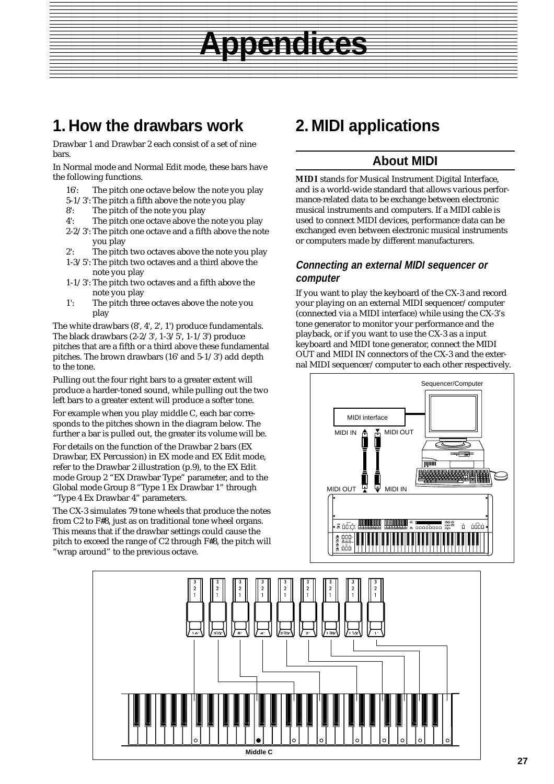# **1. How the drawbars work**

Drawbar 1 and Drawbar 2 each consist of a set of nine bars.

In Normal mode and Normal Edit mode, these bars have the following functions.

- 16': The pitch one octave below the note you play
- 5-1/3': The pitch a fifth above the note you play
- 8': The pitch of the note you play
- 4': The pitch one octave above the note you play
- 2-2/3': The pitch one octave and a fifth above the note you play
- 2': The pitch two octaves above the note you play
- 1-3/5': The pitch two octaves and a third above the note you play
- 1-1/3': The pitch two octaves and a fifth above the note you play
- 1': The pitch three octaves above the note you play

The white drawbars (8', 4', 2', 1') produce fundamentals. The black drawbars (2-2/3', 1-3/5', 1-1/3') produce pitches that are a fifth or a third above these fundamental pitches. The brown drawbars (16' and 5-1/3') add depth to the tone.

Pulling out the four right bars to a greater extent will produce a harder-toned sound, while pulling out the two left bars to a greater extent will produce a softer tone.

For example when you play middle C, each bar corresponds to the pitches shown in the diagram below. The further a bar is pulled out, the greater its volume will be.

For details on the function of the Drawbar 2 bars (EX Drawbar, EX Percussion) in EX mode and EX Edit mode, refer to the Drawbar 2 illustration (p.9), to the EX Edit mode Group 2 "EX Drawbar Type" parameter, and to the Global mode Group 8 "Type 1 Ex Drawbar 1" through "Type 4 Ex Drawbar 4" parameters.

The CX-3 simulates 79 tone wheels that produce the notes from C2 to F#8, just as on traditional tone wheel organs. This means that if the drawbar settings could cause the pitch to exceed the range of C2 through F#8, the pitch will "wrap around" to the previous octave.

# **2. MIDI applications**

<span id="page-30-0"></span>Appendices 1 123 12345678901234567890123456789012123456789012345678901234567890121234567890123456789012345678901212345678901234567890123456789012123

# **About MIDI**

**Appendices**

**MIDI** stands for Musical Instrument Digital Interface, and is a world-wide standard that allows various performance-related data to be exchange between electronic musical instruments and computers. If a MIDI cable is used to connect MIDI devices, performance data can be exchanged even between electronic musical instruments or computers made by different manufacturers.

#### **Connecting an external MIDI sequencer or computer**

If you want to play the keyboard of the CX-3 and record your playing on an external MIDI sequencer/computer (connected via a MIDI interface) while using the CX-3's tone generator to monitor your performance and the playback, or if you want to use the CX-3 as a input keyboard and MIDI tone generator, connect the MIDI OUT and MIDI IN connectors of the CX-3 and the external MIDI sequencer/computer to each other respectively.



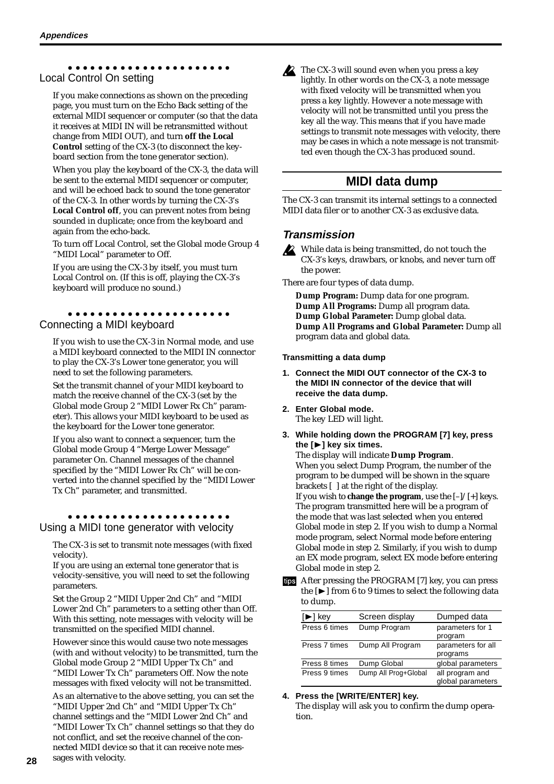#### <span id="page-31-0"></span>aaaaaaaaaaaaaaaaaaaaaa Local Control On setting

If you make connections as shown on the preceding page, you must turn on the Echo Back setting of the external MIDI sequencer or computer (so that the data it receives at MIDI IN will be retransmitted without change from MIDI OUT), and turn **off the Local Control** setting of the CX-3 (to disconnect the keyboard section from the tone generator section).

When you play the keyboard of the CX-3, the data will be sent to the external MIDI sequencer or computer, and will be echoed back to sound the tone generator of the CX-3. In other words by turning the CX-3's **Local Control off**, you can prevent notes from being sounded in duplicate; once from the keyboard and again from the echo-back.

To turn off Local Control, set the Global mode Group 4 "MIDI Local" parameter to Off.

If you are using the CX-3 by itself, you must turn Local Control on. (If this is off, playing the CX-3's keyboard will produce no sound.)

#### aaaaaaaaaaaaaaaaaaaaaa Connecting a MIDI keyboard

If you wish to use the CX-3 in Normal mode, and use a MIDI keyboard connected to the MIDI IN connector to play the CX-3's Lower tone generator, you will need to set the following parameters.

Set the transmit channel of your MIDI keyboard to match the receive channel of the CX-3 (set by the Global mode Group 2 "MIDI Lower Rx Ch" parameter). This allows your MIDI keyboard to be used as the keyboard for the Lower tone generator.

If you also want to connect a sequencer, turn the Global mode Group 4 "Merge Lower Message" parameter On. Channel messages of the channel specified by the "MIDI Lower Rx Ch" will be converted into the channel specified by the "MIDI Lower Tx Ch" parameter, and transmitted.

#### aaaaaaaaaaaaaaaaaaaaaa Using a MIDI tone generator with velocity

The CX-3 is set to transmit note messages (with fixed velocity).

If you are using an external tone generator that is velocity-sensitive, you will need to set the following parameters.

Set the Group 2 "MIDI Upper 2nd Ch" and "MIDI Lower 2nd Ch" parameters to a setting other than Off. With this setting, note messages with velocity will be transmitted on the specified MIDI channel.

However since this would cause two note messages (with and without velocity) to be transmitted, turn the Global mode Group 2 "MIDI Upper Tx Ch" and "MIDI Lower Tx Ch" parameters Off. Now the note messages with fixed velocity will not be transmitted.

As an alternative to the above setting, you can set the "MIDI Upper 2nd Ch" and "MIDI Upper Tx Ch" channel settings and the "MIDI Lower 2nd Ch" and "MIDI Lower Tx Ch" channel settings so that they do not conflict, and set the receive channel of the connected MIDI device so that it can receive note messages with velocity.



The CX-3 will sound even when you press a key lightly. In other words on the CX-3, a note message with fixed velocity will be transmitted when you press a key lightly. However a note message with velocity will not be transmitted until you press the key all the way. This means that if you have made settings to transmit note messages with velocity, there may be cases in which a note message is not transmitted even though the CX-3 has produced sound.

# **MIDI data dump**

The CX-3 can transmit its internal settings to a connected MIDI data filer or to another CX-3 as exclusive data.

# **Transmission**

While data is being transmitted, do not touch the CX-3's keys, drawbars, or knobs, and never turn off the power.

There are four types of data dump.

**Dump Program:** Dump data for one program. **Dump All Programs:** Dump all program data. **Dump Global Parameter:** Dump global data. **Dump All Programs and Global Parameter:** Dump all program data and global data.

#### **Transmitting a data dump**

- **1. Connect the MIDI OUT connector of the CX-3 to the MIDI IN connector of the device that will receive the data dump.**
- **2. Enter Global mode.** The key LED will light.
- **3. While holding down the PROGRAM [7] key, press the [**®**] key six times.**

The display will indicate **Dump Program**. When you select Dump Program, the number of the program to be dumped will be shown in the square brackets [ ] at the right of the display. If you wish to **change the program**, use the [–]/[+] keys. The program transmitted here will be a program of the mode that was last selected when you entered Global mode in step 2. If you wish to dump a Normal mode program, select Normal mode before entering Global mode in step 2. Similarly, if you wish to dump an EX mode program, select EX mode before entering Global mode in step 2.

ins After pressing the PROGRAM [7] key, you can press the  $[\triangleright]$  from 6 to 9 times to select the following data to dump.

| [▶] key       | Screen display       | Dumped data                          |
|---------------|----------------------|--------------------------------------|
| Press 6 times | Dump Program         | parameters for 1<br>program          |
| Press 7 times | Dump All Program     | parameters for all<br>programs       |
| Press 8 times | Dump Global          | global parameters                    |
| Press 9 times | Dump All Prog+Global | all program and<br>global parameters |

#### **4. Press the [WRITE/ENTER] key.**

The display will ask you to confirm the dump operation.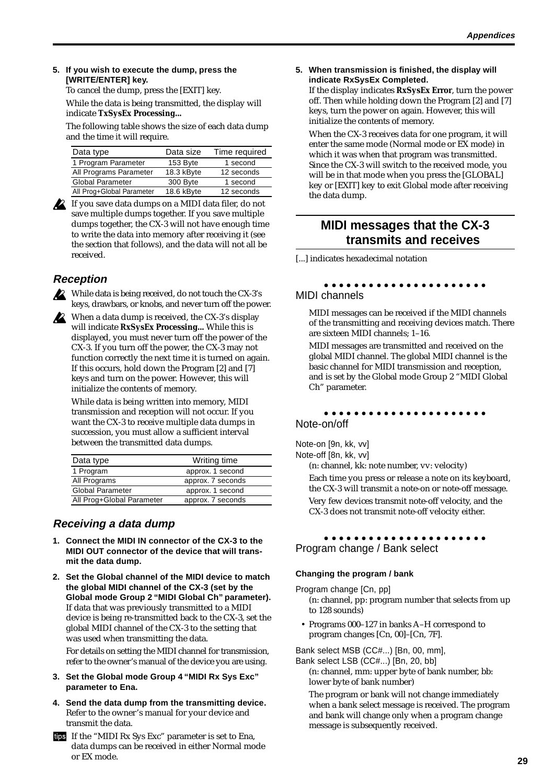#### <span id="page-32-0"></span>**5. If you wish to execute the dump, press the [WRITE/ENTER] key.**

To cancel the dump, press the [EXIT] key. While the data is being transmitted, the display will indicate **TxSysEx Processing...**

The following table shows the size of each data dump and the time it will require.

| Data type                 | Data size  | Time required |
|---------------------------|------------|---------------|
| 1 Program Parameter       | 153 Byte   | 1 second      |
| All Programs Parameter    | 18.3 kByte | 12 seconds    |
| <b>Global Parameter</b>   | 300 Byte   | 1 second      |
| All Prog+Global Parameter | 18.6 kByte | 12 seconds    |

If you save data dumps on a MIDI data filer, do not save multiple dumps together. If you save multiple dumps together, the CX-3 will not have enough time to write the data into memory after receiving it (see the section that follows), and the data will not all be received.

# **Reception**

While data is being received, do not touch the CX-3's keys, drawbars, or knobs, and never turn off the power.

When a data dump is received, the CX-3's display will indicate **RxSysEx Processing...** While this is displayed, you must never turn off the power of the CX-3. If you turn off the power, the CX-3 may not function correctly the next time it is turned on again. If this occurs, hold down the Program [2] and [7] keys and turn on the power. However, this will initialize the contents of memory.

While data is being written into memory, MIDI transmission and reception will not occur. If you want the CX-3 to receive multiple data dumps in succession, you must allow a sufficient interval between the transmitted data dumps.

| Data type                 | Writing time      |
|---------------------------|-------------------|
| 1 Program                 | approx. 1 second  |
| All Programs              | approx. 7 seconds |
| <b>Global Parameter</b>   | approx. 1 second  |
| All Prog+Global Parameter | approx. 7 seconds |

## **Receiving a data dump**

- **1. Connect the MIDI IN connector of the CX-3 to the MIDI OUT connector of the device that will transmit the data dump.**
- **2. Set the Global channel of the MIDI device to match the global MIDI channel of the CX-3 (set by the Global mode Group 2 "MIDI Global Ch" parameter).** If data that was previously transmitted to a MIDI device is being re-transmitted back to the CX-3, set the global MIDI channel of the CX-3 to the setting that was used when transmitting the data.

For details on setting the MIDI channel for transmission, refer to the owner's manual of the device you are using.

- **3. Set the Global mode Group 4 "MIDI Rx Sys Exc" parameter to Ena.**
- **4. Send the data dump from the transmitting device.** Refer to the owner's manual for your device and transmit the data.
- If the "MIDI Rx Sys Exc" parameter is set to Ena, data dumps can be received in either Normal mode or EX mode.

#### **5. When transmission is finished, the display will indicate RxSysEx Completed.**

If the display indicates **RxSysEx Error**, turn the power off. Then while holding down the Program [2] and [7] keys, turn the power on again. However, this will initialize the contents of memory.

When the CX-3 receives data for one program, it will enter the same mode (Normal mode or EX mode) in which it was when that program was transmitted. Since the CX-3 will switch to the received mode, you will be in that mode when you press the [GLOBAL] key or [EXIT] key to exit Global mode after receiving the data dump.

# **MIDI messages that the CX-3 transmits and receives**

[...] indicates hexadecimal notation

#### aaaaaaaaaaaaaaaaaaaaaa MIDI channels

MIDI messages can be received if the MIDI channels of the transmitting and receiving devices match. There are sixteen MIDI channels; 1–16.

MIDI messages are transmitted and received on the global MIDI channel. The global MIDI channel is the basic channel for MIDI transmission and reception, and is set by the Global mode Group 2 "MIDI Global Ch" parameter.

#### aaaaaaaaaaaaaaaaaaaaaa Note-on/off

Note-on [9n, kk, vv] Note-off [8n, kk, vv]

(n: channel, kk: note number, vv: velocity)

Each time you press or release a note on its keyboard, the CX-3 will transmit a note-on or note-off message. Very few devices transmit note-off velocity, and the

CX-3 does not transmit note-off velocity either.

#### aaaaaaaaaaaaaaaaaaaaaa Program change / Bank select

#### **Changing the program / bank**

Program change [Cn, pp] (n: channel, pp: program number that selects from up to 128 sounds)

• Programs 000–127 in banks A–H correspond to program changes [Cn, 00]–[Cn, 7F].

Bank select MSB (CC#...) [Bn, 00, mm],

Bank select LSB (CC#...) [Bn, 20, bb]

(n: channel, mm: upper byte of bank number, bb: lower byte of bank number)

The program or bank will not change immediately when a bank select message is received. The program and bank will change only when a program change message is subsequently received.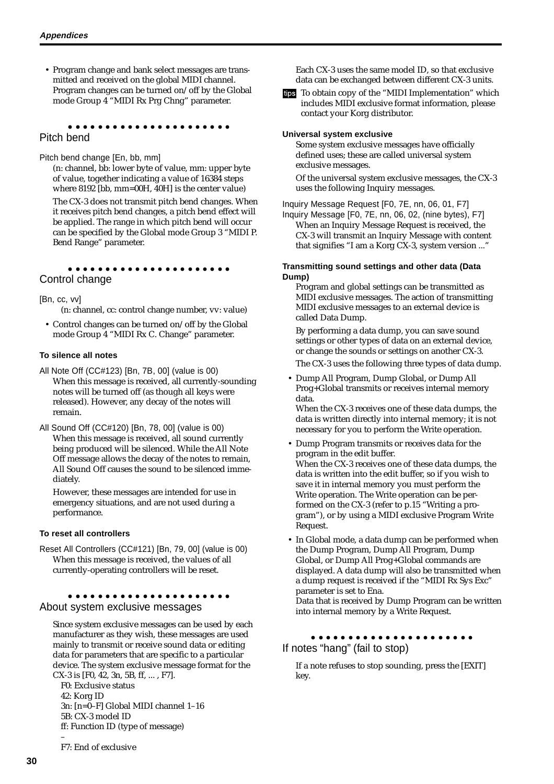• Program change and bank select messages are transmitted and received on the global MIDI channel. Program changes can be turned on/off by the Global mode Group 4 "MIDI Rx Prg Chng" parameter.

#### aaaaaaaaaaaaaaaaaaaaaa Pitch bend

Pitch bend change [En, bb, mm]

(n: channel, bb: lower byte of value, mm: upper byte of value, together indicating a value of 16384 steps where 8192 [bb, mm=00H, 40H] is the center value)

The CX-3 does not transmit pitch bend changes. When it receives pitch bend changes, a pitch bend effect will be applied. The range in which pitch bend will occur can be specified by the Global mode Group 3 "MIDI P. Bend Range" parameter.

#### aaaaaaaaaaaaaaaaaaaaaa

Control change

[Bn, cc, vv]

(n: channel, cc: control change number, vv: value)

• Control changes can be turned on/off by the Global mode Group 4 "MIDI Rx C. Change" parameter.

#### **To silence all notes**

- All Note Off (CC#123) [Bn, 7B, 00] (value is 00) When this message is received, all currently-sounding notes will be turned off (as though all keys were released). However, any decay of the notes will remain.
- All Sound Off (CC#120) [Bn, 78, 00] (value is 00) When this message is received, all sound currently being produced will be silenced. While the All Note Off message allows the decay of the notes to remain, All Sound Off causes the sound to be silenced immediately.

However, these messages are intended for use in emergency situations, and are not used during a performance.

#### **To reset all controllers**

Reset All Controllers (CC#121) [Bn, 79, 00] (value is 00) When this message is received, the values of all currently-operating controllers will be reset.

#### aaaaaaaaaaaaaaaaaaaaaa About system exclusive messages

Since system exclusive messages can be used by each manufacturer as they wish, these messages are used mainly to transmit or receive sound data or editing data for parameters that are specific to a particular device. The system exclusive message format for the CX-3 is [F0, 42, 3n, 5B, ff, ... , F7].

F0: Exclusive status 42: Korg ID 3n: [n=0–F] Global MIDI channel 1–16 5B: CX-3 model ID ff: Function ID (type of message) –

Each CX-3 uses the same model ID, so that exclusive data can be exchanged between different CX-3 units.

tips To obtain copy of the "MIDI Implementation" which includes MIDI exclusive format information, please contact your Korg distributor.

#### **Universal system exclusive**

Some system exclusive messages have officially defined uses; these are called universal system exclusive messages.

Of the universal system exclusive messages, the CX-3 uses the following Inquiry messages.

Inquiry Message Request [F0, 7E, nn, 06, 01, F7] Inquiry Message [F0, 7E, nn, 06, 02, (nine bytes), F7] When an Inquiry Message Request is received, the CX-3 will transmit an Inquiry Message with content that signifies "I am a Korg CX-3, system version ..."

#### **Transmitting sound settings and other data (Data Dump)**

Program and global settings can be transmitted as MIDI exclusive messages. The action of transmitting MIDI exclusive messages to an external device is called Data Dump.

By performing a data dump, you can save sound settings or other types of data on an external device, or change the sounds or settings on another CX-3.

The CX-3 uses the following three types of data dump.

• Dump All Program, Dump Global, or Dump All Prog+Global transmits or receives internal memory data.

When the CX-3 receives one of these data dumps, the data is written directly into internal memory; it is not necessary for you to perform the Write operation.

- Dump Program transmits or receives data for the program in the edit buffer. When the CX-3 receives one of these data dumps, the data is written into the edit buffer, so if you wish to save it in internal memory you must perform the Write operation. The Write operation can be performed on the CX-3 (refer to p.15 "Writing a program"), or by using a MIDI exclusive Program Write Request.
- In Global mode, a data dump can be performed when the Dump Program, Dump All Program, Dump Global, or Dump All Prog+Global commands are displayed. A data dump will also be transmitted when a dump request is received if the "MIDI Rx Sys Exc" parameter is set to Ena.

Data that is received by Dump Program can be written into internal memory by a Write Request.

#### aaaaaaaaaaaaaaaaaaaaaa If notes "hang" (fail to stop)

If a note refuses to stop sounding, press the [EXIT] key.

F7: End of exclusive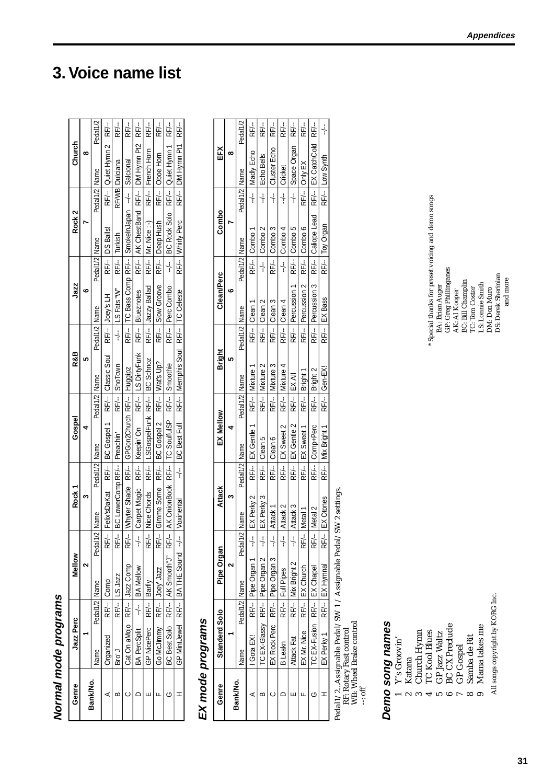| Normal mode programs |                                |               |                                                                       |               |                                      |               |                                                                         |               |               |               |                                                           |               |                                            |                            |          |
|----------------------|--------------------------------|---------------|-----------------------------------------------------------------------|---------------|--------------------------------------|---------------|-------------------------------------------------------------------------|---------------|---------------|---------------|-----------------------------------------------------------|---------------|--------------------------------------------|----------------------------|----------|
| Genre                | Jazz Perc                      |               | Mellow                                                                |               | Rock1                                |               | Gospel                                                                  |               | R&B           |               | Jazz                                                      |               | Rock 2                                     | Church                     |          |
|                      |                                |               |                                                                       |               |                                      |               |                                                                         |               |               |               | ဖ                                                         |               |                                            | ∞                          |          |
| Bank/No.             | Name                           | Pedal1/2 Name |                                                                       | Pedal1        | /2 Name                              | Pedal1/2 Name |                                                                         | Pedal1/2 Name |               | Pedal1/2 Name |                                                           | Pedal1/2 Name |                                            | Pedal1/2 Name              | Pedal1/2 |
|                      | <b>Draanized</b>               |               | RF/--   Comp                                                          |               |                                      |               | RF/-- Feiix'sDaKat RF/-- BC Gospel 1 RF/-- Classic Soul RF/-- Joey's LH |               |               |               |                                                           |               | RF/-- DS Balls!                            | RF/--   Quiet Hymn 2 RF/-- |          |
|                      | r.<br>Bro                      |               | RF/-- LS Jazz                                                         |               | RF/-- BC LowerComp RF/--   Preachin' |               |                                                                         |               | RF/-- ShoTown |               | $-/-$ 1LS Fats 'W"                                        | RF/-- Turkish |                                            | RF/VB Dulciana             | RF/-     |
|                      | Cat On aMojo RF/-- Jazz Comp   |               |                                                                       |               |                                      |               | RF/-- Whyter Shade RF/--   GPGon2Church RF/--   Huggipz                 |               |               |               | RF/-- TC Bass Comp RF/--   SmokeInJapan --/--   Salcional |               |                                            |                            | RF/-     |
|                      | BA PercSplit --/--   BA Mellow |               |                                                                       | $\frac{1}{1}$ | Carpet Magic RF/--   Keepin' On      |               |                                                                         |               |               |               | RF/-- LS DirtyFunk RF/-- Blueznotes                       |               | RF/-- AK ChestBand RF/-- DM Hymn Pt2 RF/-- |                            |          |
|                      | GP NicePerc RF/--   Barfly     |               |                                                                       |               |                                      |               | RF/-- Nice Chords RF/-- LSGospelFunk RF/-- IBC Schnoz                   |               |               |               | RF/-- Jazzy Ballad RF/-- Mr. Nice :-)                     |               |                                            | RF/--   French Horn        | RF/-     |
|                      | Go McJimmy RF/--   Joey' Jazz  |               |                                                                       |               |                                      |               | RF/-- Cimme Some RF/-- BC Gospel 2 RF/-- Wat's Up?                      |               |               |               | RF/-- Slow Groove RF/--   Deep Hush                       |               |                                            | RF/--   Oboe Horn          | RF/-     |
|                      |                                |               | BC Best Solo RF/-- AK Smooth"J" RF/-- AK OnionBook RF/-- TC SoulfulSP |               |                                      |               |                                                                         |               | RF/- Smoothie |               | RF/-- Perc Combo                                          | $-1$          | BC Rock Solo RF/--   Quiet Hymn 1          |                            | RF/-     |
|                      |                                |               | GP MintJewel RF/-- BATHE Sound --/-                                   |               | Voxinental                           |               | --/-- BC Best Full RF/-- Memphis Soul RF/-- TC Celeste                  |               |               |               |                                                           |               | RF/--   Whirly Perc                        | RF/--   DM Hymn Pt1        | RF/-     |

# EX mode programs **EX mode programs**

| Genre    | Standerd Solo                  |               | Pipe Organ                             |                    | <b>Attack</b>               |                 | EX Mellow            |               | Bright          |               | <b>Clean/Perc</b>  |                 | Combo              |                 | EFX               |          |
|----------|--------------------------------|---------------|----------------------------------------|--------------------|-----------------------------|-----------------|----------------------|---------------|-----------------|---------------|--------------------|-----------------|--------------------|-----------------|-------------------|----------|
| Bank/No. |                                |               |                                        |                    |                             |                 |                      |               | ư               |               | c                  |                 |                    |                 | œ                 |          |
|          | Vame                           | Pedal1/2 Name |                                        | Pedal <sup>1</sup> | ./2   Name                  | Pedal1/2   Name |                      | Pedal1/2 Name |                 | Pedal1/2 Name |                    | Pedal1/2   Name |                    | Pedal1/2   Name |                   | Pedal1/2 |
|          | l Gota EX!                     |               | RF/-- Pipe Organ 1 --/-                |                    | EX Perky 2                  |                 | RF/-- EX Gentle 1    | $RF/-$        | Mixture '       |               | RF/--   Clean      |                 | RF/-- Combo 1      | $\frac{1}{1}$   | Madly Echo        | RF/-     |
|          |                                |               | TC EX-Glassy RF/--   Pipe Organ 2      |                    | EX Perky 3                  | RF/-            | Clean 5              | RF/--         | Mixture 2       |               | RF/--   Clean 2    | $\frac{1}{1}$   | Combo <sub>2</sub> | $\frac{1}{1}$   | Echo Bells        | RF/-     |
|          |                                |               | EX Rock Perc RF/--   Pipe Organ 3 --/- |                    | Attack 1                    | RF/-            | Clean 6              | RF/-          | Mixture 3       |               | RF/--   Clean 3    |                 | RF/-- Combo 3      | $\frac{1}{1}$   | Cluster Echo      | RF/-     |
|          | B Leakn                        |               | RF/--   Full Pipes                     |                    | Attack 2                    |                 | RF/--   EX Sweet 2   | RF/-          | Mixture 4       | RF/--         | Clean <sub>4</sub> |                 | $-/-$   Combo 4    | $\frac{1}{1}$   | Cricket           | RF/-     |
|          | Attack Fat                     |               | RF/--   Mix Bright 2                   |                    | Attack 3                    |                 | RF/-- EX Gentle 2    | RF/-          | IEX All         | RF/-- l       | Percussion 1       |                 | RF/-Combo 5        | $\frac{1}{1}$   | Space Organ       | RF/-     |
|          | EX Mr. Nice                    |               | RF/--   EX Church                      | RF/-               | Metal                       | RF/-            | EX Sweet             | RF/-          | Bright 1        | RF/--         | Percussion 2       | RF/-            | Combo 6            | RF/-            | Only EX           | RF/-     |
|          | TC EX-Fusion RF/--   EX Chapel |               |                                        | RF/--              | Metal 2                     | RF/--           | Comp+Perc            | RF/-          | Bright 2        | RF/-- l       | Percussion 3       |                 | RF/-- Caliope Lead | RF/--           | EX CatchCold RF/- |          |
|          | EX Perky 1 RF/--   EX Hymnal   |               |                                        |                    | RF/--   EX Otones           |                 | RF/--   Mix Bright 1 |               | RF/--   Gen-EX! |               | RF/--   EX Bass    |                 | RF/--   Toy Organ  |                 | RF/-- Low Synth   | ┆        |
|          |                                |               |                                        |                    | $\sim$ $\sim$ $\sim$ $\sim$ |                 |                      |               |                 |               |                    |                 |                    |                 |                   |          |

Pedal1/2...Assignable Pedal/SW 1 / Assignable Pedal/SW 2 settings. Pedal1/2...Assignable Pedal/SW 1 / Assignable Pedal/SW 2 settings.<br>RF: Rotary Fast control<br>WB: Wheel Brake control<br>--: off

RF: Rotary Fast control

WB: Wheel Brake control

# Demo song names **Demo song names**

- Y's Groovin' 1 Y's Groovin'
	- Katana 2 Katana  $\sim$
- Church Hymn 3 Church Hymn  $\infty$ 
	- 4 TC Kool Blues
- TC Kool Blues<br>GP Jazz Waltz 5 GP Jazz Waltz ທ
	- $\bullet$
- BC CX Preclude<br>GP Gospel 6 BC CX Preclude 7 GP Gospel  $\overline{a}$ 
	- Samba de Rit 8 Samba de Rit  $\infty$
- Mama takes me 9 Mama takes me  $\bullet$

All songs copyright by KORG Inc. All songs copyright by KORG Inc.

\* Special thanks for preset voicing and demo songs<br>BA: Brian Auger<br>GP: Greg Phillinganes<br>AK: Al Kooper<br>BC: Bill Champlin<br>TC: Tom Coster<br>LS: Lomie Smith<br>DM: Don Muro<br>DM: Don Muro<br>DS: Derek Sherinian<br>and more \* Special thanks for preset voicing and demo songs GP: Greg Phillinganes DS: Derek Sherinian BC: Bill Champlin LS: Lonnie Smith BA: Brian Auger TC: Tom Coster DM: Don Muro AK: Al Kooper

and more

# <span id="page-34-0"></span>**3. Voice name list**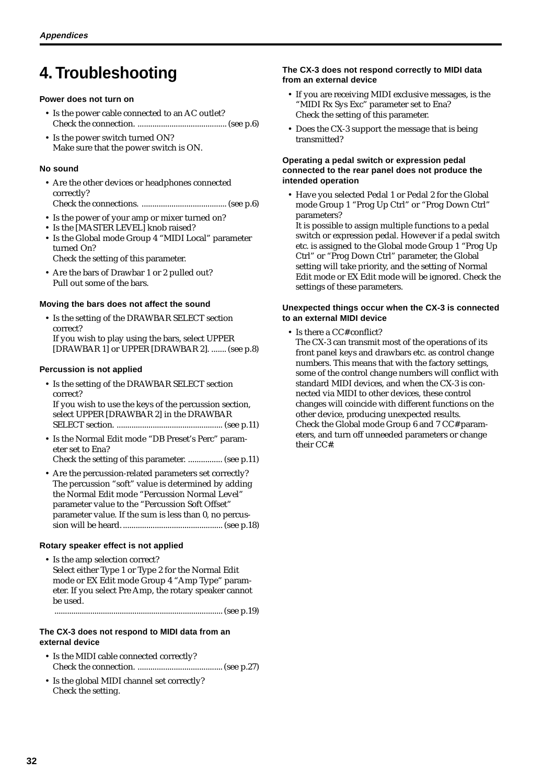# <span id="page-35-0"></span>**4. Troubleshooting**

#### **Power does not turn on**

- Is the power cable connected to an AC outlet? Check the connection. .......................................... (see p.6)
- Is the power switch turned ON? Make sure that the power switch is ON.

#### **No sound**

- Are the other devices or headphones connected correctly? Check the connections. ........................................ (see p.6)
- Is the power of your amp or mixer turned on?
- Is the [MASTER LEVEL] knob raised?
- Is the Global mode Group 4 "MIDI Local" parameter turned On?

Check the setting of this parameter.

• Are the bars of Drawbar 1 or 2 pulled out? Pull out some of the bars.

#### **Moving the bars does not affect the sound**

• Is the setting of the DRAWBAR SELECT section correct? If you wish to play using the bars, select UPPER

[DRAWBAR 1] or UPPER [DRAWBAR 2]. ....... (see p.8)

#### **Percussion is not applied**

• Is the setting of the DRAWBAR SELECT section correct? If you wish to use the keys of the percussion section, select UPPER [DRAWBAR 2] in the DRAWBAR

SELECT section. .................................................. (see p.11)

• Is the Normal Edit mode "DB Preset's Perc" parameter set to Ena?

Check the setting of this parameter. ................ (see p.11)

• Are the percussion-related parameters set correctly? The percussion "soft" value is determined by adding the Normal Edit mode "Percussion Normal Level" parameter value to the "Percussion Soft Offset" parameter value. If the sum is less than 0, no percussion will be heard. ............................................... (see p.18)

#### **Rotary speaker effect is not applied**

• Is the amp selection correct? Select either Type 1 or Type 2 for the Normal Edit mode or EX Edit mode Group 4 "Amp Type" parameter. If you select Pre Amp, the rotary speaker cannot be used.

................................................................................ (see p.19)

#### **The CX-3 does not respond to MIDI data from an external device**

- Is the MIDI cable connected correctly? Check the connection. ........................................ (see p.27)
- Is the global MIDI channel set correctly? Check the setting.

#### **The CX-3 does not respond correctly to MIDI data from an external device**

- If you are receiving MIDI exclusive messages, is the "MIDI Rx Sys Exc" parameter set to Ena? Check the setting of this parameter.
- Does the CX-3 support the message that is being transmitted?

#### **Operating a pedal switch or expression pedal connected to the rear panel does not produce the intended operation**

• Have you selected Pedal 1 or Pedal 2 for the Global mode Group 1 "Prog Up Ctrl" or "Prog Down Ctrl" parameters?

It is possible to assign multiple functions to a pedal switch or expression pedal. However if a pedal switch etc. is assigned to the Global mode Group 1 "Prog Up Ctrl" or "Prog Down Ctrl" parameter, the Global setting will take priority, and the setting of Normal Edit mode or EX Edit mode will be ignored. Check the settings of these parameters.

#### **Unexpected things occur when the CX-3 is connected to an external MIDI device**

• Is there a CC# conflict?

The CX-3 can transmit most of the operations of its front panel keys and drawbars etc. as control change numbers. This means that with the factory settings, some of the control change numbers will conflict with standard MIDI devices, and when the CX-3 is connected via MIDI to other devices, these control changes will coincide with different functions on the other device, producing unexpected results. Check the Global mode Group 6 and 7 CC# parameters, and turn off unneeded parameters or change their CC#.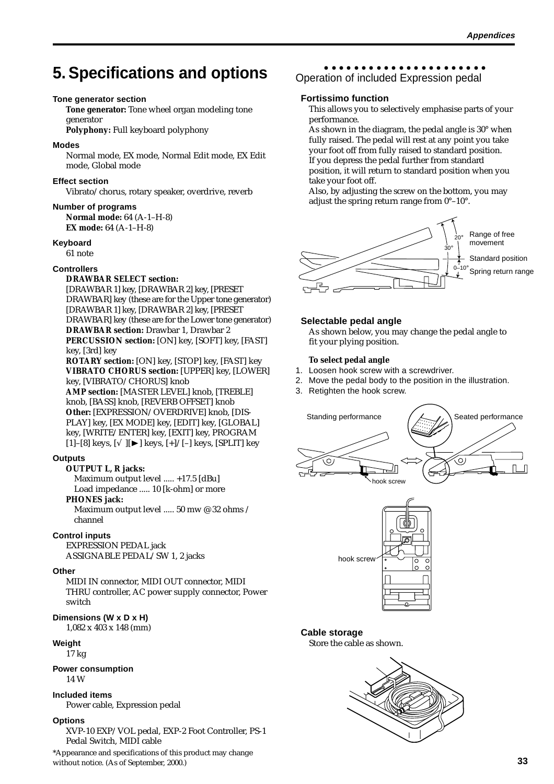# <span id="page-36-0"></span>**5. Specifications and options**

#### **Tone generator section**

**Tone generator:** Tone wheel organ modeling tone generator

**Polyphony:** Full keyboard polyphony

#### **Modes**

Normal mode, EX mode, Normal Edit mode, EX Edit mode, Global mode

#### **Effect section**

Vibrato/chorus, rotary speaker, overdrive, reverb

#### **Number of programs**

**Normal mode:** 64 (A-1–H-8) **EX mode:** 64 (A-1–H-8)

#### **Keyboard**

61 note

#### **Controllers**

#### **DRAWBAR SELECT section:**

[DRAWBAR 1] key, [DRAWBAR 2] key, [PRESET DRAWBAR] key (these are for the Upper tone generator) [DRAWBAR 1] key, [DRAWBAR 2] key, [PRESET DRAWBAR] key (these are for the Lower tone generator) **DRAWBAR section:** Drawbar 1, Drawbar 2 **PERCUSSION section:** [ON] key, [SOFT] key, [FAST] key, [3rd] key **ROTARY section:** [ON] key, [STOP] key, [FAST] key **VIBRATO CHORUS section:** [UPPER] key, [LOWER] key, [VIBRATO/CHORUS] knob

**AMP section:** [MASTER LEVEL] knob, [TREBLE] knob, [BASS] knob, [REVERB OFFSET] knob **Other:** [EXPRESSION/OVERDRIVE] knob, [DIS-PLAY] key, [EX MODE] key, [EDIT] key, [GLOBAL] key, [WRITE/ENTER] key, [EXIT] key, PROGRAM [1]–[8] keys, [√][►] keys, [+]/[–] keys, [SPLIT] key

#### **Outputs**

#### **OUTPUT L, R jacks:**

Maximum output level ..... +17.5 [dBu] Load impedance ..... 10 [k-ohm] or more

#### **PHONES jack:**

Maximum output level ..... 50 mw @ 32 ohms / channel

#### **Control inputs**

EXPRESSION PEDAL jack ASSIGNABLE PEDAL/SW 1, 2 jacks

#### **Other**

MIDI IN connector, MIDI OUT connector, MIDI THRU controller, AC power supply connector, Power switch

#### **Dimensions (W x D x H)**

1,082 x 403 x 148 (mm)

#### **Weight**

#### 17 kg

**Power consumption** 14 W

#### **Included items**

Power cable, Expression pedal

#### **Options**

XVP-10 EXP/VOL pedal, EXP-2 Foot Controller, PS-1 Pedal Switch, MIDI cable

\*Appearance and specifications of this product may change without notice. (As of September, 2000.)

#### aaaaaaaaaaaaaaaaaaaaaa Operation of included Expression pedal

#### **Fortissimo function**

This allows you to selectively emphasise parts of your performance.

As shown in the diagram, the pedal angle is 30° when fully raised. The pedal will rest at any point you take your foot off from fully raised to standard position. If you depress the pedal further from standard

position, it will return to standard position when you take your foot off.

Also, by adjusting the screw on the bottom, you may adjust the spring return range from 0°–10°.



#### **Selectable pedal angle**

As shown below, you may change the pedal angle to fit your plying position.

#### **To select pedal angle**

- 1. Loosen hook screw with a screwdriver.
- 2. Move the pedal body to the position in the illustration.
- 3. Retighten the hook screw.





#### **Cable storage**

Store the cable as shown.

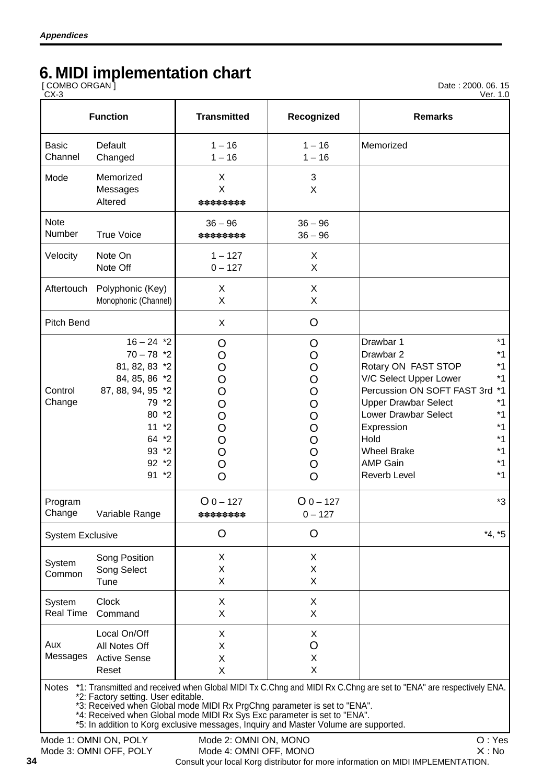# **6. MIDI implementation chart**

[ COMBO ORGAN ]

Date : 2000. 06. 15

| <b>Function</b>                                                                                                                                                          | <b>Transmitted</b>                                       | Recognized                                                                                                                                                         | <b>Remarks</b>                                                                                                                                                                                                                                                                                                                                                                             |
|--------------------------------------------------------------------------------------------------------------------------------------------------------------------------|----------------------------------------------------------|--------------------------------------------------------------------------------------------------------------------------------------------------------------------|--------------------------------------------------------------------------------------------------------------------------------------------------------------------------------------------------------------------------------------------------------------------------------------------------------------------------------------------------------------------------------------------|
| Default<br>Changed                                                                                                                                                       | $1 - 16$<br>$1 - 16$                                     | $1 - 16$<br>$1 - 16$                                                                                                                                               | Memorized                                                                                                                                                                                                                                                                                                                                                                                  |
| Memorized<br>Messages<br>Altered                                                                                                                                         | X<br>X<br>********                                       | 3<br>X                                                                                                                                                             |                                                                                                                                                                                                                                                                                                                                                                                            |
| <b>True Voice</b>                                                                                                                                                        | $36 - 96$<br>********                                    | $36 - 96$<br>$36 - 96$                                                                                                                                             |                                                                                                                                                                                                                                                                                                                                                                                            |
| Note On<br>Note Off                                                                                                                                                      | $1 - 127$<br>$0 - 127$                                   | X<br>X                                                                                                                                                             |                                                                                                                                                                                                                                                                                                                                                                                            |
| Polyphonic (Key)<br>Monophonic (Channel)                                                                                                                                 | X<br>X                                                   | $\pmb{\times}$<br>X                                                                                                                                                |                                                                                                                                                                                                                                                                                                                                                                                            |
| Pitch Bend                                                                                                                                                               | X                                                        | O                                                                                                                                                                  |                                                                                                                                                                                                                                                                                                                                                                                            |
| $16 - 24$ *2<br>$70 - 78$ *2<br>81, 82, 83 *2<br>84, 85, 86 *2<br>87, 88, 94, 95 *2<br>79 *2<br>80<br>$*_{2}$<br>11<br>$*_{2}$<br>64 *2<br>93 *2<br>$92 * 2$<br>91<br>*2 | O<br>O<br>O<br>O<br>O<br>O<br>O<br>O<br>O<br>O<br>O<br>O | O<br>O<br>$\overline{O}$<br>$\rm{O}$<br>$\overline{O}$<br>$\overline{O}$<br>$\overline{O}$<br>$\overline{O}$<br>$\overline{O}$<br>$\overline{O}$<br>$\overline{O}$ | $*1$<br>Drawbar 1<br>$*1$<br>Drawbar 2<br>$*1$<br>Rotary ON FAST STOP<br>$*1$<br>V/C Select Upper Lower<br>Percussion ON SOFT FAST 3rd<br>$*1$<br>$*1$<br><b>Upper Drawbar Select</b><br>$*1$<br>Lower Drawbar Select<br>$*1$<br>Expression<br>$*1$<br>Hold<br>$*1$<br><b>Wheel Brake</b><br>$*1$<br><b>AMP Gain</b><br>$*1$<br><b>Reverb Level</b>                                        |
| Variable Range                                                                                                                                                           | $O_0 - 127$<br>********                                  | $O_0 - 127$<br>$0 - 127$                                                                                                                                           | *3                                                                                                                                                                                                                                                                                                                                                                                         |
| <b>System Exclusive</b>                                                                                                                                                  | O                                                        | O                                                                                                                                                                  | $*4, *5$                                                                                                                                                                                                                                                                                                                                                                                   |
| Song Position<br>Song Select<br>Tune                                                                                                                                     | X<br>Χ<br>X                                              | X<br>Χ<br>X                                                                                                                                                        |                                                                                                                                                                                                                                                                                                                                                                                            |
| <b>Clock</b><br>Command                                                                                                                                                  | X<br>X                                                   | X<br>X                                                                                                                                                             |                                                                                                                                                                                                                                                                                                                                                                                            |
| Local On/Off<br>All Notes Off<br><b>Active Sense</b><br>Reset                                                                                                            | X<br>X<br>X<br>X                                         | X<br>O<br>X<br>X                                                                                                                                                   |                                                                                                                                                                                                                                                                                                                                                                                            |
|                                                                                                                                                                          |                                                          |                                                                                                                                                                    | $\bigcap$ $\bigcup_{\alpha\alpha}$                                                                                                                                                                                                                                                                                                                                                         |
|                                                                                                                                                                          |                                                          | *2: Factory setting. User editable.<br>Mode 1: OMNILON DOLV                                                                                                        | *1: Transmitted and received when Global MIDI Tx C.Chng and MIDI Rx C.Chng are set to "ENA" are respectively ENA.<br>*3: Received when Global mode MIDI Rx PrgChng parameter is set to "ENA".<br>*4: Received when Global mode MIDI Rx Sys Exc parameter is set to "ENA".<br>*5: In addition to Korg exclusive messages, Inquiry and Master Volume are supported.<br>Mode 2: OMNILONI MONO |

Mode 1: OMNI ON, POLY Mode 2: OMNI ON, MONO O : Yes Mode 4: OMNI OFF, MONO Consult your local Korg distributor for more information on MIDI IMPLEMENTATION.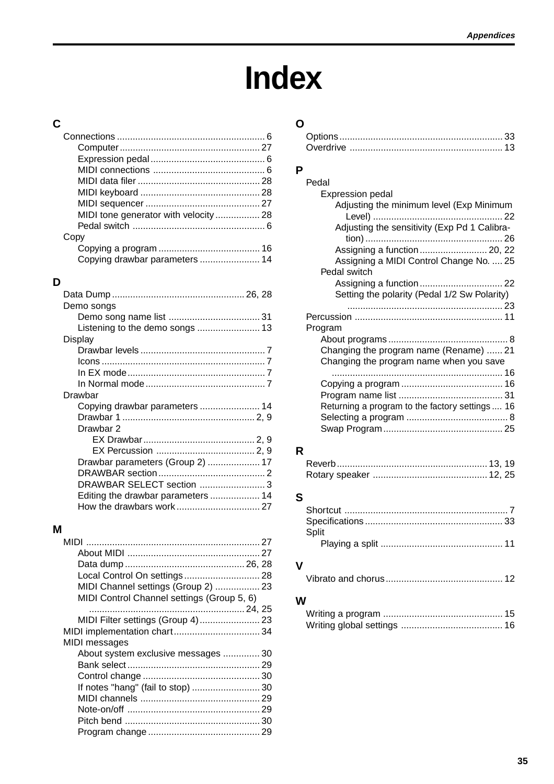# **Index**

# <span id="page-38-0"></span>**C**

| MIDI tone generator with velocity 28 |  |
|--------------------------------------|--|
|                                      |  |
| Copy                                 |  |
|                                      |  |
| Copying drawbar parameters  14       |  |
|                                      |  |

# **D**

| Demo songs                         |  |
|------------------------------------|--|
|                                    |  |
| Listening to the demo songs  13    |  |
| Display                            |  |
|                                    |  |
|                                    |  |
|                                    |  |
|                                    |  |
| Drawbar                            |  |
| Copying drawbar parameters  14     |  |
|                                    |  |
| Drawbar 2                          |  |
|                                    |  |
|                                    |  |
| Drawbar parameters (Group 2)  17   |  |
|                                    |  |
| DRAWBAR SELECT section  3          |  |
| Editing the drawbar parameters  14 |  |
|                                    |  |
|                                    |  |

# **M**

| Local Control On settings 28               |  |
|--------------------------------------------|--|
| MIDI Channel settings (Group 2)  23        |  |
| MIDI Control Channel settings (Group 5, 6) |  |
|                                            |  |
| MIDI Filter settings (Group 4) 23          |  |
| MIDI implementation chart 34               |  |
| MIDI messages                              |  |
| About system exclusive messages  30        |  |
|                                            |  |
|                                            |  |
|                                            |  |
|                                            |  |
|                                            |  |
|                                            |  |
|                                            |  |

# **O**

# **P**

| Pedal                                           |  |
|-------------------------------------------------|--|
| <b>Expression pedal</b>                         |  |
| Adjusting the minimum level (Exp Minimum        |  |
|                                                 |  |
| Adjusting the sensitivity (Exp Pd 1 Calibra-    |  |
|                                                 |  |
|                                                 |  |
| Assigning a MIDI Control Change No.  25         |  |
| Pedal switch                                    |  |
| Setting the polarity (Pedal 1/2 Sw Polarity)    |  |
|                                                 |  |
|                                                 |  |
| Program                                         |  |
|                                                 |  |
| Changing the program name (Rename)  21          |  |
| Changing the program name when you save         |  |
|                                                 |  |
|                                                 |  |
|                                                 |  |
| Returning a program to the factory settings  16 |  |
|                                                 |  |
|                                                 |  |
|                                                 |  |

# **R**

# **S**

| Split |  |
|-------|--|
|       |  |

# **V**

|--|

# **W**